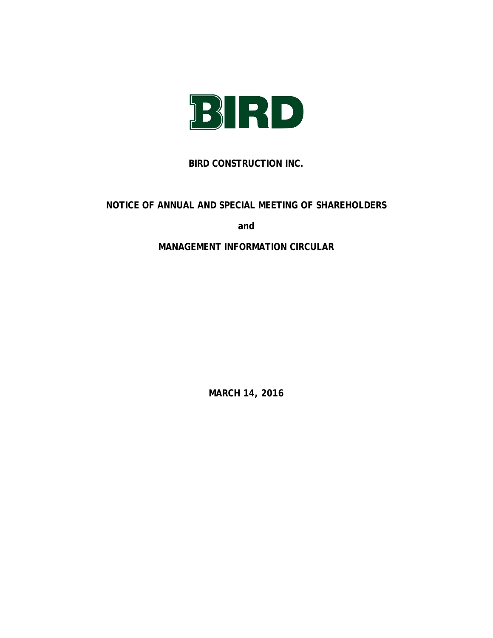

# **BIRD CONSTRUCTION INC.**

# **NOTICE OF ANNUAL AND SPECIAL MEETING OF SHAREHOLDERS**

**and**

# **MANAGEMENT INFORMATION CIRCULAR**

**MARCH 14, 2016**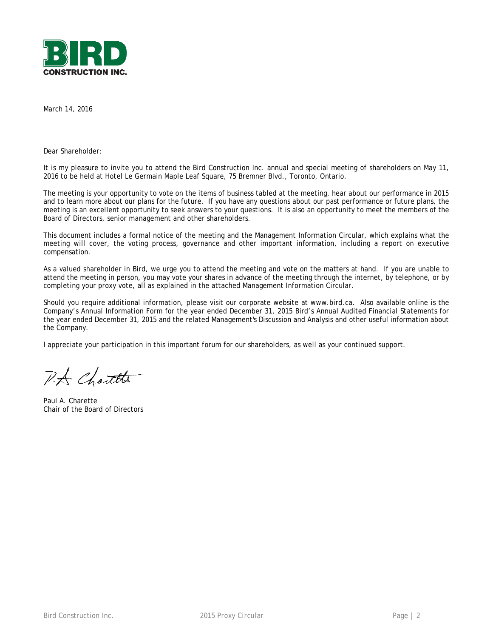

March 14, 2016

Dear Shareholder:

It is my pleasure to invite you to attend the Bird Construction Inc. annual and special meeting of shareholders on May 11, 2016 to be held at Hotel Le Germain Maple Leaf Square, 75 Bremner Blvd., Toronto, Ontario.

The meeting is your opportunity to vote on the items of business tabled at the meeting, hear about our performance in 2015 and to learn more about our plans for the future. If you have any questions about our past performance or future plans, the meeting is an excellent opportunity to seek answers to your questions. It is also an opportunity to meet the members of the Board of Directors, senior management and other shareholders.

This document includes a formal notice of the meeting and the Management Information Circular, which explains what the meeting will cover, the voting process, governance and other important information, including a report on executive compensation.

As a valued shareholder in Bird, we urge you to attend the meeting and vote on the matters at hand. If you are unable to attend the meeting in person, you may vote your shares in advance of the meeting through the internet, by telephone, or by completing your proxy vote, all as explained in the attached Management Information Circular.

Should you require additional information, please visit our corporate website at www.bird.ca. Also available online is the Company's Annual Information Form for the year ended December 31, 2015 Bird's Annual Audited Financial Statements for the year ended December 31, 2015 and the related Management's Discussion and Analysis and other useful information about the Company.

I appreciate your participation in this important forum for our shareholders, as well as your continued support.

P.A Chartte

Paul A. Charette Chair of the Board of Directors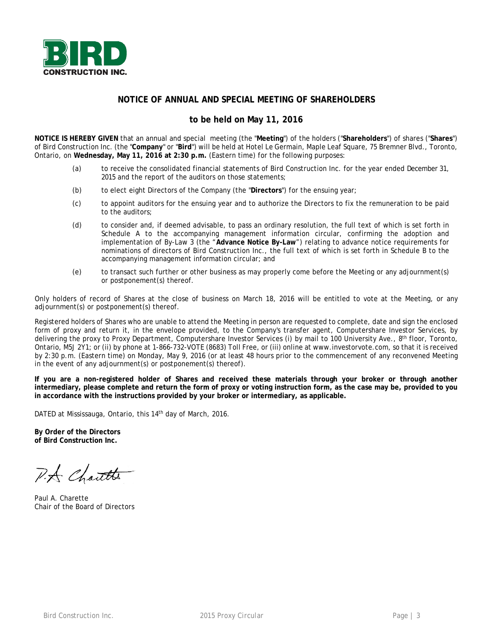

# **NOTICE OF ANNUAL AND SPECIAL MEETING OF SHAREHOLDERS**

# **to be held on May 11, 2016**

**NOTICE IS HEREBY GIVEN** that an annual and special meeting (the "**Meeting**") of the holders ("**Shareholders**") of shares ("**Shares**") of Bird Construction Inc. (the "**Company**" or "**Bird**") will be held at Hotel Le Germain, Maple Leaf Square, 75 Bremner Blvd., Toronto, Ontario, on **Wednesday, May 11, 2016 at 2:30 p.m.** (Eastern time) for the following purposes:

- (a) to receive the consolidated financial statements of Bird Construction Inc. for the year ended December 31, 2015 and the report of the auditors on those statements;
- (b) to elect eight Directors of the Company (the "**Directors**") for the ensuing year;
- (c) to appoint auditors for the ensuing year and to authorize the Directors to fix the remuneration to be paid to the auditors;
- (d) to consider and, if deemed advisable, to pass an ordinary resolution, the full text of which is set forth in Schedule A to the accompanying management information circular, confirming the adoption and implementation of By-Law 3 (the "**Advance Notice By-Law**") relating to advance notice requirements for nominations of directors of Bird Construction Inc., the full text of which is set forth in Schedule B to the accompanying management information circular; and
- (e) to transact such further or other business as may properly come before the Meeting or any adjournment(s) or postponement(s) thereof.

Only holders of record of Shares at the close of business on March 18, 2016 will be entitled to vote at the Meeting, or any adjournment(s) or postponement(s) thereof.

Registered holders of Shares who are unable to attend the Meeting in person are requested to complete, date and sign the enclosed form of proxy and return it, in the envelope provided, to the Company's transfer agent, Computershare Investor Services, by delivering the proxy to Proxy Department, Computershare Investor Services (i) by mail to 100 University Ave., 8th floor, Toronto, Ontario, M5J 2Y1; or (ii) by phone at 1-866-732-VOTE (8683) Toll Free, or (iii) online at www.investorvote.com, so that it is received by 2:30 p.m. (Eastern time) on Monday, May 9, 2016 (or at least 48 hours prior to the commencement of any reconvened Meeting in the event of any adjournment(s) or postponement(s) thereof).

**If you are a non-registered holder of Shares and received these materials through your broker or through another intermediary, please complete and return the form of proxy or voting instruction form, as the case may be, provided to you in accordance with the instructions provided by your broker or intermediary, as applicable.**

DATED at Mississauga, Ontario, this 14<sup>th</sup> day of March, 2016.

**By Order of the Directors of Bird Construction Inc.**

P.A. Chartte

Paul A. Charette Chair of the Board of Directors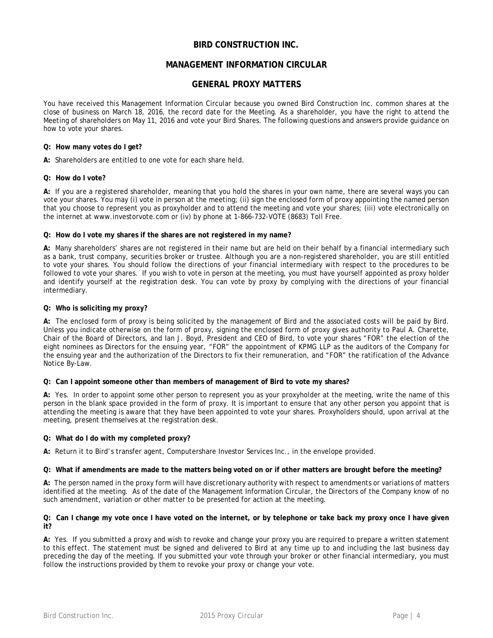# **BIRD CONSTRUCTION INC.**

# **MANAGEMENT INFORMATION CIRCULAR**

# **GENERAL PROXY MATTERS**

You have received this Management Information Circular because you owned Bird Construction Inc. common shares at the close of business on March 18, 2016, the record date for the Meeting. As a shareholder, you have the right to attend the Meeting of shareholders on May 11, 2016 and vote your Bird Shares. The following questions and answers provide guidance on how to vote your shares.

#### **Q: How many votes do I get?**

**A:** Shareholders are entitled to one vote for each share held.

#### **Q: How do I vote?**

**A:** If you are a registered shareholder, meaning that you hold the shares in your own name, there are several ways you can vote your shares. You may (i) vote in person at the meeting; (ii) sign the enclosed form of proxy appointing the named person that you choose to represent you as proxyholder and to attend the meeting and vote your shares; (iii) vote electronically on the internet at www.investorvote.com or (iv) by phone at 1-866-732-VOTE (8683) Toll Free.

### **Q: How do I vote my shares if the shares are not registered in my name?**

**A:** Many shareholders' shares are not registered in their name but are held on their behalf by a financial intermediary such as a bank, trust company, securities broker or trustee. Although you are a non-registered shareholder, you are still entitled to vote your shares. You should follow the directions of your financial intermediary with respect to the procedures to be followed to vote your shares. If you wish to vote in person at the meeting, you must have yourself appointed as proxy holder and identify yourself at the registration desk. You can vote by proxy by complying with the directions of your financial intermediary.

### **Q: Who is soliciting my proxy?**

**A:** The enclosed form of proxy is being solicited by the management of Bird and the associated costs will be paid by Bird. Unless you indicate otherwise on the form of proxy, signing the enclosed form of proxy gives authority to Paul A. Charette, Chair of the Board of Directors, and Ian J. Boyd, President and CEO of Bird, to vote your shares "FOR" the election of the eight nominees as Directors for the ensuing year, "FOR" the appointment of KPMG LLP as the auditors of the Company for the ensuing year and the authorization of the Directors to fix their remuneration, and "FOR" the ratification of the Advance Notice By-Law.

#### **Q: Can I appoint someone other than members of management of Bird to vote my shares?**

**A:** Yes. In order to appoint some other person to represent you as your proxyholder at the meeting, write the name of this person in the blank space provided in the form of proxy. It is important to ensure that any other person you appoint that is attending the meeting is aware that they have been appointed to vote your shares. Proxyholders should, upon arrival at the meeting, present themselves at the registration desk.

### **Q: What do I do with my completed proxy?**

**A:** Return it to Bird's transfer agent, Computershare Investor Services Inc., in the envelope provided.

#### **Q: What if amendments are made to the matters being voted on or if other matters are brought before the meeting?**

**A:** The person named in the proxy form will have discretionary authority with respect to amendments or variations of matters identified at the meeting. As of the date of the Management Information Circular, the Directors of the Company know of no such amendment, variation or other matter to be presented for action at the meeting.

#### **Q: Can I change my vote once I have voted on the internet, or by telephone or take back my proxy once I have given it?**

**A:** Yes. If you submitted a proxy and wish to revoke and change your proxy you are required to prepare a written statement to this effect. The statement must be signed and delivered to Bird at any time up to and including the last business day preceding the day of the meeting. If you submitted your vote through your broker or other financial intermediary, you must follow the instructions provided by them to revoke your proxy or change your vote.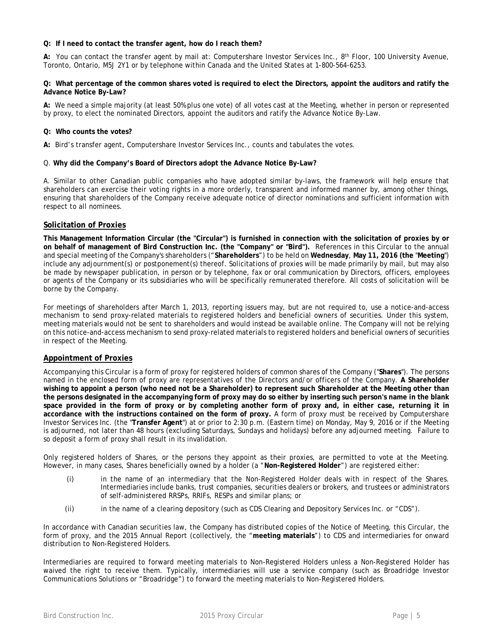### **Q: If I need to contact the transfer agent, how do I reach them?**

**A:** You can contact the transfer agent by mail at: Computershare Investor Services Inc., 8th Floor, 100 University Avenue, Toronto, Ontario, M5J 2Y1 or by telephone within Canada and the United States at 1-800-564-6253.

#### **Q: What percentage of the common shares voted is required to elect the Directors, appoint the auditors and ratify the Advance Notice By-Law?**

**A:** We need a simple majority (at least 50% plus one vote) of all votes cast at the Meeting, whether in person or represented by proxy, to elect the nominated Directors, appoint the auditors and ratify the Advance Notice By-Law.

#### **Q: Who counts the votes?**

**A:** Bird's transfer agent, Computershare Investor Services Inc., counts and tabulates the votes.

#### Q. **Why did the Company's Board of Directors adopt the Advance Notice By-Law?**

A. Similar to other Canadian public companies who have adopted similar by-laws, the framework will help ensure that shareholders can exercise their voting rights in a more orderly, transparent and informed manner by, among other things, ensuring that shareholders of the Company receive adequate notice of director nominations and sufficient information with respect to all nominees.

### **Solicitation of Proxies**

**This Management Information Circular (the "Circular") is furnished in connection with the solicitation of proxies by or on behalf of management of Bird Construction Inc. (the "Company" or "Bird").** References in this Circular to the annual and special meeting of the Company's shareholders ("**Shareholders**") to be held on **Wednesday**, **May 11, 2016 (the** "**Meeting**") include any adjournment(s) or postponement(s) thereof. Solicitations of proxies will be made primarily by mail, but may also be made by newspaper publication, in person or by telephone, fax or oral communication by Directors, officers, employees or agents of the Company or its subsidiaries who will be specifically remunerated therefore. All costs of solicitation will be borne by the Company.

For meetings of shareholders after March 1, 2013, reporting issuers may, but are not required to, use a notice-and-access mechanism to send proxy-related materials to registered holders and beneficial owners of securities. Under this system, meeting materials would not be sent to shareholders and would instead be available online. The Company will not be relying on this notice-and-access mechanism to send proxy-related materials to registered holders and beneficial owners of securities in respect of the Meeting.

### **Appointment of Proxies**

Accompanying this Circular is a form of proxy for registered holders of common shares of the Company ("**Shares**"). The persons named in the enclosed form of proxy are representatives of the Directors and/or officers of the Company. **A Shareholder wishing to appoint a person (who need not be a Shareholder) to represent such Shareholder at the Meeting other than the persons designated in the accompanying form of proxy may do so either by inserting such person's name in the blank space provided in the form of proxy or by completing another form of proxy and, in either case, returning it in accordance with the instructions contained on the form of proxy.** A form of proxy must be received by Computershare Investor Services Inc. (the "**Transfer Agent**") at or prior to 2:30 p.m. (Eastern time) on Monday, May 9, 2016 or if the Meeting is adjourned, not later than 48 hours (excluding Saturdays, Sundays and holidays) before any adjourned meeting. Failure to so deposit a form of proxy shall result in its invalidation.

Only registered holders of Shares, or the persons they appoint as their proxies, are permitted to vote at the Meeting. However, in many cases, Shares beneficially owned by a holder (a "**Non-Registered Holder**") are registered either:

- (i) in the name of an intermediary that the Non-Registered Holder deals with in respect of the Shares. Intermediaries include banks, trust companies, securities dealers or brokers, and trustees or administrators of self-administered RRSPs, RRIFs, RESPs and similar plans; or
- (ii) in the name of a clearing depository (such as CDS Clearing and Depository Services Inc. or "CDS").

In accordance with Canadian securities law, the Company has distributed copies of the Notice of Meeting, this Circular, the form of proxy, and the 2015 Annual Report (collectively, the "**meeting materials**") to CDS and intermediaries for onward distribution to Non-Registered Holders.

Intermediaries are required to forward meeting materials to Non-Registered Holders unless a Non-Registered Holder has waived the right to receive them. Typically, intermediaries will use a service company (such as Broadridge Investor Communications Solutions or "Broadridge") to forward the meeting materials to Non-Registered Holders.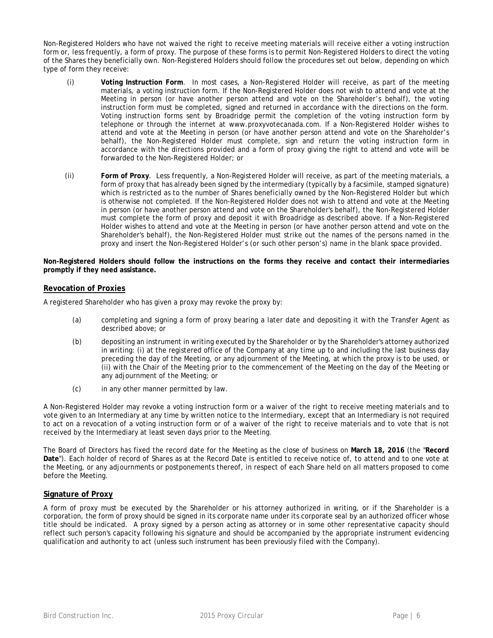Non-Registered Holders who have not waived the right to receive meeting materials will receive either a voting instruction form or, less frequently, a form of proxy. The purpose of these forms is to permit Non-Registered Holders to direct the voting of the Shares they beneficially own. Non-Registered Holders should follow the procedures set out below, depending on which type of form they receive:

- (i) **Voting Instruction Form**. In most cases, a Non-Registered Holder will receive, as part of the meeting materials, a voting instruction form. If the Non-Registered Holder does not wish to attend and vote at the Meeting in person (or have another person attend and vote on the Shareholder's behalf), the voting instruction form must be completed, signed and returned in accordance with the directions on the form. Voting instruction forms sent by Broadridge permit the completion of the voting instruction form by telephone or through the internet at www.proxyvotecanada.com. If a Non-Registered Holder wishes to attend and vote at the Meeting in person (or have another person attend and vote on the Shareholder's behalf), the Non-Registered Holder must complete, sign and return the voting instruction form in accordance with the directions provided and a form of proxy giving the right to attend and vote will be forwarded to the Non-Registered Holder; or
- (ii) **Form of Proxy**. Less frequently, a Non-Registered Holder will receive, as part of the meeting materials, a form of proxy that has already been signed by the intermediary (typically by a facsimile, stamped signature) which is restricted as to the number of Shares beneficially owned by the Non-Registered Holder but which is otherwise not completed. If the Non-Registered Holder does not wish to attend and vote at the Meeting in person (or have another person attend and vote on the Shareholder's behalf), the Non-Registered Holder must complete the form of proxy and deposit it with Broadridge as described above. If a Non-Registered Holder wishes to attend and vote at the Meeting in person (or have another person attend and vote on the Shareholder's behalf), the Non-Registered Holder must strike out the names of the persons named in the proxy and insert the Non-Registered Holder's (or such other person's) name in the blank space provided.

**Non-Registered Holders should follow the instructions on the forms they receive and contact their intermediaries promptly if they need assistance.**

### **Revocation of Proxies**

A registered Shareholder who has given a proxy may revoke the proxy by:

- (a) completing and signing a form of proxy bearing a later date and depositing it with the Transfer Agent as described above; or
- (b) depositing an instrument in writing executed by the Shareholder or by the Shareholder's attorney authorized in writing: (i) at the registered office of the Company at any time up to and including the last business day preceding the day of the Meeting, or any adjournment of the Meeting, at which the proxy is to be used, or (ii) with the Chair of the Meeting prior to the commencement of the Meeting on the day of the Meeting or any adjournment of the Meeting; or
- (c) in any other manner permitted by law.

A Non-Registered Holder may revoke a voting instruction form or a waiver of the right to receive meeting materials and to vote given to an Intermediary at any time by written notice to the Intermediary, except that an Intermediary is not required to act on a revocation of a voting instruction form or of a waiver of the right to receive materials and to vote that is not received by the Intermediary at least seven days prior to the Meeting.

The Board of Directors has fixed the record date for the Meeting as the close of business on **March 18, 2016** (the "**Record Date**"). Each holder of record of Shares as at the Record Date is entitled to receive notice of, to attend and to one vote at the Meeting, or any adjournments or postponements thereof, in respect of each Share held on all matters proposed to come before the Meeting.

# **Signature of Proxy**

A form of proxy must be executed by the Shareholder or his attorney authorized in writing, or if the Shareholder is a corporation, the form of proxy should be signed in its corporate name under its corporate seal by an authorized officer whose title should be indicated. A proxy signed by a person acting as attorney or in some other representative capacity should reflect such person's capacity following his signature and should be accompanied by the appropriate instrument evidencing qualification and authority to act (unless such instrument has been previously filed with the Company).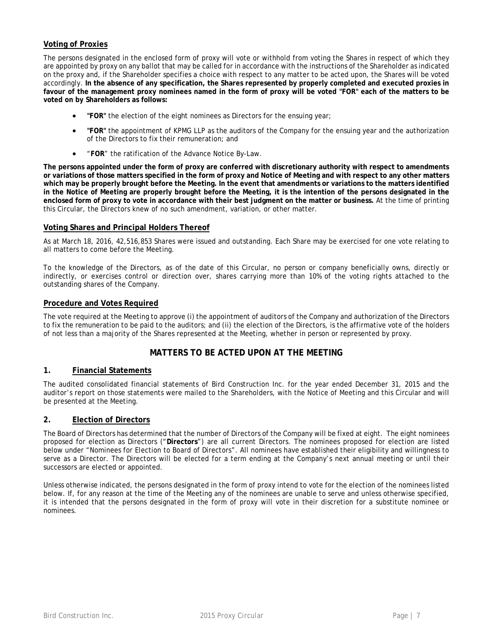# **Voting of Proxies**

The persons designated in the enclosed form of proxy will vote or withhold from voting the Shares in respect of which they are appointed by proxy on any ballot that may be called for in accordance with the instructions of the Shareholder as indicated on the proxy and, if the Shareholder specifies a choice with respect to any matter to be acted upon, the Shares will be voted accordingly. **In the absence of any specification, the Shares represented by properly completed and executed proxies in favour of the management proxy nominees named in the form of proxy will be voted "FOR" each of the matters to be voted on by Shareholders as follows:**

- **"FOR"** the election of the eight nominees as Directors for the ensuing year;
- **"FOR"** the appointment of KPMG LLP as the auditors of the Company for the ensuing year and the authorization of the Directors to fix their remuneration; and
- "**FOR**" the ratification of the Advance Notice By-Law.

**The persons appointed under the form of proxy are conferred with discretionary authority with respect to amendments or variations of those matters specified in the form of proxy and Notice of Meeting and with respect to any other matters which may be properly brought before the Meeting. In the event that amendments or variations to the matters identified in the Notice of Meeting are properly brought before the Meeting, it is the intention of the persons designated in the enclosed form of proxy to vote in accordance with their best judgment on the matter or business.** At the time of printing this Circular, the Directors knew of no such amendment, variation, or other matter.

### **Voting Shares and Principal Holders Thereof**

As at March 18, 2016, 42,516,853 Shares were issued and outstanding. Each Share may be exercised for one vote relating to all matters to come before the Meeting.

To the knowledge of the Directors, as of the date of this Circular, no person or company beneficially owns, directly or indirectly, or exercises control or direction over, shares carrying more than 10% of the voting rights attached to the outstanding shares of the Company.

### **Procedure and Votes Required**

The vote required at the Meeting to approve (i) the appointment of auditors of the Company and authorization of the Directors to fix the remuneration to be paid to the auditors; and (ii) the election of the Directors, is the affirmative vote of the holders of not less than a majority of the Shares represented at the Meeting, whether in person or represented by proxy.

# **MATTERS TO BE ACTED UPON AT THE MEETING**

### **1. Financial Statements**

The audited consolidated financial statements of Bird Construction Inc. for the year ended December 31, 2015 and the auditor's report on those statements were mailed to the Shareholders, with the Notice of Meeting and this Circular and will be presented at the Meeting.

# **2. Election of Directors**

The Board of Directors has determined that the number of Directors of the Company will be fixed at eight. The eight nominees proposed for election as Directors ("**Directors**") are all current Directors. The nominees proposed for election are listed below under "Nominees for Election to Board of Directors". All nominees have established their eligibility and willingness to serve as a Director. The Directors will be elected for a term ending at the Company's next annual meeting or until their successors are elected or appointed.

Unless otherwise indicated, the persons designated in the form of proxy intend to vote for the election of the nominees listed below. If, for any reason at the time of the Meeting any of the nominees are unable to serve and unless otherwise specified, it is intended that the persons designated in the form of proxy will vote in their discretion for a substitute nominee or nominees.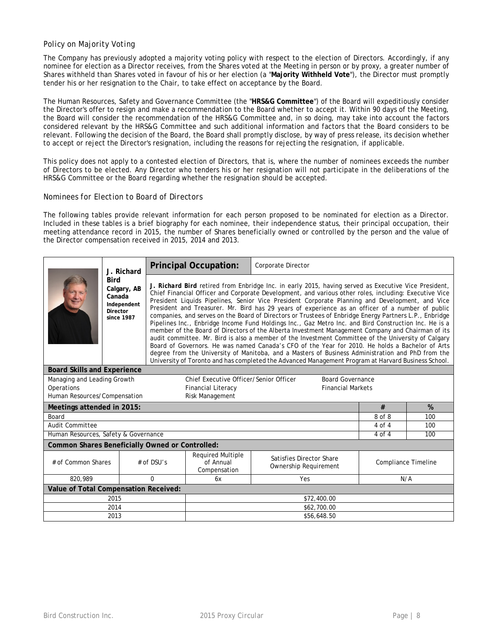# *Policy on Majority Voting*

The Company has previously adopted a majority voting policy with respect to the election of Directors. Accordingly, if any nominee for election as a Director receives, from the Shares voted at the Meeting in person or by proxy, a greater number of Shares withheld than Shares voted in favour of his or her election (a "**Majority Withheld Vote**"), the Director must promptly tender his or her resignation to the Chair, to take effect on acceptance by the Board.

The Human Resources, Safety and Governance Committee (the "**HRS&G Committee**") of the Board will expeditiously consider the Director's offer to resign and make a recommendation to the Board whether to accept it. Within 90 days of the Meeting, the Board will consider the recommendation of the HRS&G Committee and, in so doing, may take into account the factors considered relevant by the HRS&G Committee and such additional information and factors that the Board considers to be relevant. Following the decision of the Board, the Board shall promptly disclose, by way of press release, its decision whether to accept or reject the Director's resignation, including the reasons for rejecting the resignation, if applicable.

This policy does not apply to a contested election of Directors, that is, where the number of nominees exceeds the number of Directors to be elected. Any Director who tenders his or her resignation will not participate in the deliberations of the HRS&G Committee or the Board regarding whether the resignation should be accepted.

### *Nominees for Election to Board of Directors*

The following tables provide relevant information for each person proposed to be nominated for election as a Director. Included in these tables is a brief biography for each nominee, their independence status, their principal occupation, their meeting attendance record in 2015, the number of Shares beneficially owned or controlled by the person and the value of the Director compensation received in 2015, 2014 and 2013.

|                                                                                                  | J. Richard                                                                    |                                                                                                                                                                 | <b>Principal Occupation:</b>                                                                                                                                                                                                                                                                                                                                                                                                                                                                                                                                                                                                                                                                                                                                                                                                                                                                                                                                                                                                                                                                                                                                       | Corporate Director       |            |     |  |  |
|--------------------------------------------------------------------------------------------------|-------------------------------------------------------------------------------|-----------------------------------------------------------------------------------------------------------------------------------------------------------------|--------------------------------------------------------------------------------------------------------------------------------------------------------------------------------------------------------------------------------------------------------------------------------------------------------------------------------------------------------------------------------------------------------------------------------------------------------------------------------------------------------------------------------------------------------------------------------------------------------------------------------------------------------------------------------------------------------------------------------------------------------------------------------------------------------------------------------------------------------------------------------------------------------------------------------------------------------------------------------------------------------------------------------------------------------------------------------------------------------------------------------------------------------------------|--------------------------|------------|-----|--|--|
|                                                                                                  | <b>Bird</b><br>Calgary, AB<br>Canada<br>Independent<br>Director<br>since 1987 |                                                                                                                                                                 | J. Richard Bird retired from Enbridge Inc. in early 2015, having served as Executive Vice President,<br>Chief Financial Officer and Corporate Development, and various other roles, including: Executive Vice<br>President Liquids Pipelines, Senior Vice President Corporate Planning and Development, and Vice<br>President and Treasurer. Mr. Bird has 29 years of experience as an officer of a number of public<br>companies, and serves on the Board of Directors or Trustees of Enbridge Energy Partners L.P., Enbridge<br>Pipelines Inc., Enbridge Income Fund Holdings Inc., Gaz Metro Inc. and Bird Construction Inc. He is a<br>member of the Board of Directors of the Alberta Investment Management Company and Chairman of its<br>audit committee. Mr. Bird is also a member of the Investment Committee of the University of Calgary<br>Board of Governors. He was named Canada's CFO of the Year for 2010. He holds a Bachelor of Arts<br>degree from the University of Manitoba, and a Masters of Business Administration and PhD from the<br>University of Toronto and has completed the Advanced Management Program at Harvard Business School. |                          |            |     |  |  |
|                                                                                                  | <b>Board Skills and Experience</b>                                            |                                                                                                                                                                 |                                                                                                                                                                                                                                                                                                                                                                                                                                                                                                                                                                                                                                                                                                                                                                                                                                                                                                                                                                                                                                                                                                                                                                    |                          |            |     |  |  |
| Managing and Leading Growth<br>Chief Executive Officer/Senior Officer<br><b>Board Governance</b> |                                                                               |                                                                                                                                                                 |                                                                                                                                                                                                                                                                                                                                                                                                                                                                                                                                                                                                                                                                                                                                                                                                                                                                                                                                                                                                                                                                                                                                                                    |                          |            |     |  |  |
| Operations                                                                                       |                                                                               |                                                                                                                                                                 | <b>Financial Literacy</b>                                                                                                                                                                                                                                                                                                                                                                                                                                                                                                                                                                                                                                                                                                                                                                                                                                                                                                                                                                                                                                                                                                                                          | <b>Financial Markets</b> |            |     |  |  |
| Human Resources/Compensation                                                                     |                                                                               |                                                                                                                                                                 | Risk Management                                                                                                                                                                                                                                                                                                                                                                                                                                                                                                                                                                                                                                                                                                                                                                                                                                                                                                                                                                                                                                                                                                                                                    |                          |            |     |  |  |
| Meetings attended in 2015:                                                                       |                                                                               |                                                                                                                                                                 |                                                                                                                                                                                                                                                                                                                                                                                                                                                                                                                                                                                                                                                                                                                                                                                                                                                                                                                                                                                                                                                                                                                                                                    |                          | #          | %   |  |  |
| Board                                                                                            |                                                                               |                                                                                                                                                                 | 8 of 8<br>100<br>100                                                                                                                                                                                                                                                                                                                                                                                                                                                                                                                                                                                                                                                                                                                                                                                                                                                                                                                                                                                                                                                                                                                                               |                          |            |     |  |  |
| Audit Committee                                                                                  |                                                                               |                                                                                                                                                                 | 4 of 4                                                                                                                                                                                                                                                                                                                                                                                                                                                                                                                                                                                                                                                                                                                                                                                                                                                                                                                                                                                                                                                                                                                                                             |                          |            |     |  |  |
| Human Resources, Safety & Governance                                                             |                                                                               |                                                                                                                                                                 |                                                                                                                                                                                                                                                                                                                                                                                                                                                                                                                                                                                                                                                                                                                                                                                                                                                                                                                                                                                                                                                                                                                                                                    |                          | $4$ of $4$ | 100 |  |  |
| <b>Common Shares Beneficially Owned or Controlled:</b>                                           |                                                                               |                                                                                                                                                                 |                                                                                                                                                                                                                                                                                                                                                                                                                                                                                                                                                                                                                                                                                                                                                                                                                                                                                                                                                                                                                                                                                                                                                                    |                          |            |     |  |  |
| # of Common Shares                                                                               |                                                                               | <b>Required Multiple</b><br>Satisfies Director Share<br>$#$ of DSU's<br>of Annual<br><b>Compliance Timeline</b><br><b>Ownership Requirement</b><br>Compensation |                                                                                                                                                                                                                                                                                                                                                                                                                                                                                                                                                                                                                                                                                                                                                                                                                                                                                                                                                                                                                                                                                                                                                                    |                          |            |     |  |  |
| 820,989                                                                                          |                                                                               | $\Omega$                                                                                                                                                        | Yes<br>N/A<br>6x                                                                                                                                                                                                                                                                                                                                                                                                                                                                                                                                                                                                                                                                                                                                                                                                                                                                                                                                                                                                                                                                                                                                                   |                          |            |     |  |  |
| Value of Total Compensation Received:                                                            |                                                                               |                                                                                                                                                                 |                                                                                                                                                                                                                                                                                                                                                                                                                                                                                                                                                                                                                                                                                                                                                                                                                                                                                                                                                                                                                                                                                                                                                                    |                          |            |     |  |  |
| 2015                                                                                             |                                                                               |                                                                                                                                                                 | \$72,400.00                                                                                                                                                                                                                                                                                                                                                                                                                                                                                                                                                                                                                                                                                                                                                                                                                                                                                                                                                                                                                                                                                                                                                        |                          |            |     |  |  |
| 2014                                                                                             |                                                                               |                                                                                                                                                                 | \$62,700.00                                                                                                                                                                                                                                                                                                                                                                                                                                                                                                                                                                                                                                                                                                                                                                                                                                                                                                                                                                                                                                                                                                                                                        |                          |            |     |  |  |
|                                                                                                  | 2013                                                                          |                                                                                                                                                                 |                                                                                                                                                                                                                                                                                                                                                                                                                                                                                                                                                                                                                                                                                                                                                                                                                                                                                                                                                                                                                                                                                                                                                                    | \$56,648.50              |            |     |  |  |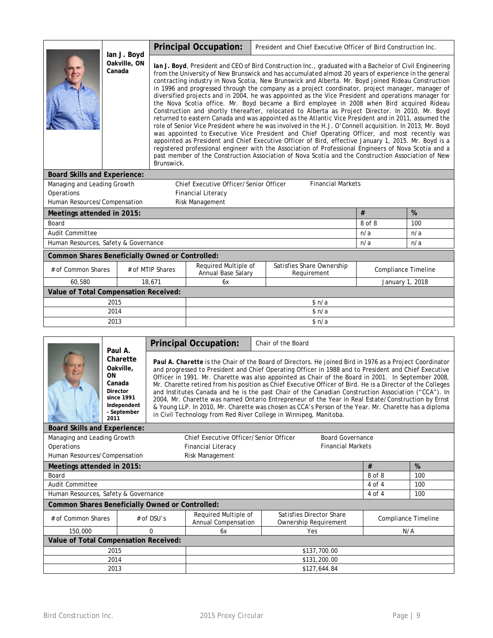|                                                        | lan J. Boyd            |                                                                                                                                                                                                                                                                                                                                                                                                                                                                                                                                                                                                                                                                                                                                                                                                                                                                                                                                                                                                                                                                                                                                                                                                                                                                                                                                                                                              | <b>Principal Occupation:</b>           | President and Chief Executive Officer of Bird Construction Inc. |                          |        |     |  |  |
|--------------------------------------------------------|------------------------|----------------------------------------------------------------------------------------------------------------------------------------------------------------------------------------------------------------------------------------------------------------------------------------------------------------------------------------------------------------------------------------------------------------------------------------------------------------------------------------------------------------------------------------------------------------------------------------------------------------------------------------------------------------------------------------------------------------------------------------------------------------------------------------------------------------------------------------------------------------------------------------------------------------------------------------------------------------------------------------------------------------------------------------------------------------------------------------------------------------------------------------------------------------------------------------------------------------------------------------------------------------------------------------------------------------------------------------------------------------------------------------------|----------------------------------------|-----------------------------------------------------------------|--------------------------|--------|-----|--|--|
|                                                        | Oakville, ON<br>Canada | lan J. Boyd, President and CEO of Bird Construction Inc., graduated with a Bachelor of Civil Engineering<br>from the University of New Brunswick and has accumulated almost 20 years of experience in the general<br>contracting industry in Nova Scotia, New Brunswick and Alberta. Mr. Boyd joined Rideau Construction<br>in 1996 and progressed through the company as a project coordinator, project manager, manager of<br>diversified projects and in 2004, he was appointed as the Vice President and operations manager for<br>the Nova Scotia office. Mr. Boyd became a Bird employee in 2008 when Bird acquired Rideau<br>Construction and shortly thereafter, relocated to Alberta as Project Director. In 2010, Mr. Boyd<br>returned to eastern Canada and was appointed as the Atlantic Vice President and in 2011, assumed the<br>role of Senior Vice President where he was involved in the H.J. O'Connell acquisition. In 2013, Mr. Boyd<br>was appointed to Executive Vice President and Chief Operating Officer, and most recently was<br>appointed as President and Chief Executive Officer of Bird, effective January 1, 2015. Mr. Boyd is a<br>registered professional engineer with the Association of Professional Engineers of Nova Scotia and a<br>past member of the Construction Association of Nova Scotia and the Construction Association of New<br>Brunswick. |                                        |                                                                 |                          |        |     |  |  |
| <b>Board Skills and Experience:</b>                    |                        |                                                                                                                                                                                                                                                                                                                                                                                                                                                                                                                                                                                                                                                                                                                                                                                                                                                                                                                                                                                                                                                                                                                                                                                                                                                                                                                                                                                              |                                        |                                                                 |                          |        |     |  |  |
| Managing and Leading Growth                            |                        |                                                                                                                                                                                                                                                                                                                                                                                                                                                                                                                                                                                                                                                                                                                                                                                                                                                                                                                                                                                                                                                                                                                                                                                                                                                                                                                                                                                              | Chief Executive Officer/Senior Officer |                                                                 | <b>Financial Markets</b> |        |     |  |  |
| Operations                                             |                        |                                                                                                                                                                                                                                                                                                                                                                                                                                                                                                                                                                                                                                                                                                                                                                                                                                                                                                                                                                                                                                                                                                                                                                                                                                                                                                                                                                                              | <b>Financial Literacy</b>              |                                                                 |                          |        |     |  |  |
| Human Resources/Compensation                           |                        |                                                                                                                                                                                                                                                                                                                                                                                                                                                                                                                                                                                                                                                                                                                                                                                                                                                                                                                                                                                                                                                                                                                                                                                                                                                                                                                                                                                              | Risk Management                        |                                                                 |                          |        |     |  |  |
| Meetings attended in 2015:                             |                        |                                                                                                                                                                                                                                                                                                                                                                                                                                                                                                                                                                                                                                                                                                                                                                                                                                                                                                                                                                                                                                                                                                                                                                                                                                                                                                                                                                                              |                                        |                                                                 | #                        | %      |     |  |  |
| Board                                                  |                        |                                                                                                                                                                                                                                                                                                                                                                                                                                                                                                                                                                                                                                                                                                                                                                                                                                                                                                                                                                                                                                                                                                                                                                                                                                                                                                                                                                                              |                                        |                                                                 |                          | 8 of 8 | 100 |  |  |
| <b>Audit Committee</b>                                 |                        |                                                                                                                                                                                                                                                                                                                                                                                                                                                                                                                                                                                                                                                                                                                                                                                                                                                                                                                                                                                                                                                                                                                                                                                                                                                                                                                                                                                              |                                        |                                                                 |                          | n/a    | n/a |  |  |
| Human Resources, Safety & Governance                   |                        |                                                                                                                                                                                                                                                                                                                                                                                                                                                                                                                                                                                                                                                                                                                                                                                                                                                                                                                                                                                                                                                                                                                                                                                                                                                                                                                                                                                              |                                        |                                                                 |                          | n/a    | n/a |  |  |
| <b>Common Shares Beneficially Owned or Controlled:</b> |                        |                                                                                                                                                                                                                                                                                                                                                                                                                                                                                                                                                                                                                                                                                                                                                                                                                                                                                                                                                                                                                                                                                                                                                                                                                                                                                                                                                                                              |                                        |                                                                 |                          |        |     |  |  |
| # of Common Shares                                     |                        | Satisfies Share Ownership<br>Required Multiple of<br># of MTIP Shares<br><b>Compliance Timeline</b><br>Annual Base Salary<br>Requirement                                                                                                                                                                                                                                                                                                                                                                                                                                                                                                                                                                                                                                                                                                                                                                                                                                                                                                                                                                                                                                                                                                                                                                                                                                                     |                                        |                                                                 |                          |        |     |  |  |
| 60,580                                                 |                        | 18.671<br>January 1, 2018<br>6x                                                                                                                                                                                                                                                                                                                                                                                                                                                                                                                                                                                                                                                                                                                                                                                                                                                                                                                                                                                                                                                                                                                                                                                                                                                                                                                                                              |                                        |                                                                 |                          |        |     |  |  |
| Value of Total Compensation Received:                  |                        |                                                                                                                                                                                                                                                                                                                                                                                                                                                                                                                                                                                                                                                                                                                                                                                                                                                                                                                                                                                                                                                                                                                                                                                                                                                                                                                                                                                              |                                        |                                                                 |                          |        |     |  |  |
| 2015                                                   |                        |                                                                                                                                                                                                                                                                                                                                                                                                                                                                                                                                                                                                                                                                                                                                                                                                                                                                                                                                                                                                                                                                                                                                                                                                                                                                                                                                                                                              | \$n/a                                  |                                                                 |                          |        |     |  |  |
| 2014                                                   |                        |                                                                                                                                                                                                                                                                                                                                                                                                                                                                                                                                                                                                                                                                                                                                                                                                                                                                                                                                                                                                                                                                                                                                                                                                                                                                                                                                                                                              | \$n/a                                  |                                                                 |                          |        |     |  |  |
| 2013                                                   |                        |                                                                                                                                                                                                                                                                                                                                                                                                                                                                                                                                                                                                                                                                                                                                                                                                                                                                                                                                                                                                                                                                                                                                                                                                                                                                                                                                                                                              | \$n/a                                  |                                                                 |                          |        |     |  |  |

|                                                                                                              | <b>Principal Occupation:</b><br>Chair of the Board<br>Paul A.                                                                           |                                                                                                                                                                                                                                                                                                                                                                                                                                                                                                                                                                                                                                                                                                                                                                                                                                  |  |              |            |     |  |  |
|--------------------------------------------------------------------------------------------------------------|-----------------------------------------------------------------------------------------------------------------------------------------|----------------------------------------------------------------------------------------------------------------------------------------------------------------------------------------------------------------------------------------------------------------------------------------------------------------------------------------------------------------------------------------------------------------------------------------------------------------------------------------------------------------------------------------------------------------------------------------------------------------------------------------------------------------------------------------------------------------------------------------------------------------------------------------------------------------------------------|--|--------------|------------|-----|--|--|
| Charette<br>Oakville,<br><b>ON</b><br>Canada<br>Director<br>since 1991<br>Independent<br>- September<br>2011 |                                                                                                                                         | Paul A. Charette is the Chair of the Board of Directors. He joined Bird in 1976 as a Project Coordinator<br>and progressed to President and Chief Operating Officer in 1988 and to President and Chief Executive<br>Officer in 1991. Mr. Charette was also appointed as Chair of the Board in 2001. In September 2008,<br>Mr. Charette retired from his position as Chief Executive Officer of Bird. He is a Director of the Colleges<br>and Institutes Canada and he is the past Chair of the Canadian Construction Association ("CCA"). In<br>2004, Mr. Charette was named Ontario Entrepreneur of the Year in Real Estate/Construction by Ernst<br>& Young LLP. In 2010, Mr. Charette was chosen as CCA's Person of the Year. Mr. Charette has a diploma<br>in Civil Technology from Red River College in Winnipeg, Manitoba. |  |              |            |     |  |  |
| <b>Board Skills and Experience:</b>                                                                          |                                                                                                                                         |                                                                                                                                                                                                                                                                                                                                                                                                                                                                                                                                                                                                                                                                                                                                                                                                                                  |  |              |            |     |  |  |
| Managing and Leading Growth                                                                                  | Chief Executive Officer/Senior Officer<br><b>Board Governance</b>                                                                       |                                                                                                                                                                                                                                                                                                                                                                                                                                                                                                                                                                                                                                                                                                                                                                                                                                  |  |              |            |     |  |  |
| Operations                                                                                                   | <b>Financial Markets</b><br><b>Financial Literacy</b>                                                                                   |                                                                                                                                                                                                                                                                                                                                                                                                                                                                                                                                                                                                                                                                                                                                                                                                                                  |  |              |            |     |  |  |
| Human Resources/Compensation                                                                                 |                                                                                                                                         | Risk Management                                                                                                                                                                                                                                                                                                                                                                                                                                                                                                                                                                                                                                                                                                                                                                                                                  |  |              |            |     |  |  |
| Meetings attended in 2015:                                                                                   |                                                                                                                                         |                                                                                                                                                                                                                                                                                                                                                                                                                                                                                                                                                                                                                                                                                                                                                                                                                                  |  |              | #          | %   |  |  |
| Board                                                                                                        |                                                                                                                                         |                                                                                                                                                                                                                                                                                                                                                                                                                                                                                                                                                                                                                                                                                                                                                                                                                                  |  |              | 8 of 8     | 100 |  |  |
| <b>Audit Committee</b>                                                                                       |                                                                                                                                         |                                                                                                                                                                                                                                                                                                                                                                                                                                                                                                                                                                                                                                                                                                                                                                                                                                  |  |              | $4$ of $4$ | 100 |  |  |
| Human Resources, Safety & Governance                                                                         |                                                                                                                                         |                                                                                                                                                                                                                                                                                                                                                                                                                                                                                                                                                                                                                                                                                                                                                                                                                                  |  |              | $4$ of $4$ | 100 |  |  |
| <b>Common Shares Beneficially Owned or Controlled:</b>                                                       |                                                                                                                                         |                                                                                                                                                                                                                                                                                                                                                                                                                                                                                                                                                                                                                                                                                                                                                                                                                                  |  |              |            |     |  |  |
| # of Common Shares                                                                                           | Required Multiple of<br>Satisfies Director Share<br>$#$ of DSU's<br>Compliance Timeline<br>Annual Compensation<br>Ownership Requirement |                                                                                                                                                                                                                                                                                                                                                                                                                                                                                                                                                                                                                                                                                                                                                                                                                                  |  |              |            |     |  |  |
| 150,000                                                                                                      | 0                                                                                                                                       | Yes<br>N/A<br>6x                                                                                                                                                                                                                                                                                                                                                                                                                                                                                                                                                                                                                                                                                                                                                                                                                 |  |              |            |     |  |  |
|                                                                                                              | Value of Total Compensation Received:                                                                                                   |                                                                                                                                                                                                                                                                                                                                                                                                                                                                                                                                                                                                                                                                                                                                                                                                                                  |  |              |            |     |  |  |
| 2015<br>\$137,700.00                                                                                         |                                                                                                                                         |                                                                                                                                                                                                                                                                                                                                                                                                                                                                                                                                                                                                                                                                                                                                                                                                                                  |  |              |            |     |  |  |
| 2014<br>\$131,200.00                                                                                         |                                                                                                                                         |                                                                                                                                                                                                                                                                                                                                                                                                                                                                                                                                                                                                                                                                                                                                                                                                                                  |  |              |            |     |  |  |
| 2013                                                                                                         |                                                                                                                                         |                                                                                                                                                                                                                                                                                                                                                                                                                                                                                                                                                                                                                                                                                                                                                                                                                                  |  | \$127,644.84 |            |     |  |  |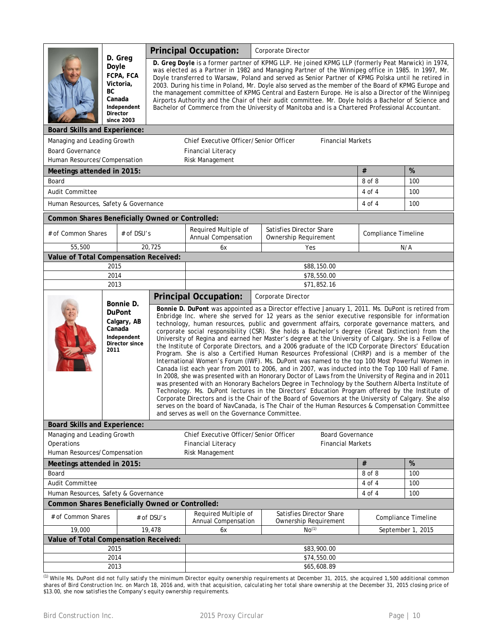|                                                                           |                                                |                                                                            |                                                                                                                                                                                                                                                                                                                                                                                                                                                                                                                                                                                                                                                                                                                                                                                                                                                                                                                                                                                                                                                                                                                                                                                                                                                                                                                                                                                                                                                                                                                | <b>Principal Occupation:</b><br>Corporate Director                                                                                                                                                                                                                                                                                                                                                                                                                                                                                                                                                                                                                                                                                        |     |                                                     |                     |                   |  |
|---------------------------------------------------------------------------|------------------------------------------------|----------------------------------------------------------------------------|----------------------------------------------------------------------------------------------------------------------------------------------------------------------------------------------------------------------------------------------------------------------------------------------------------------------------------------------------------------------------------------------------------------------------------------------------------------------------------------------------------------------------------------------------------------------------------------------------------------------------------------------------------------------------------------------------------------------------------------------------------------------------------------------------------------------------------------------------------------------------------------------------------------------------------------------------------------------------------------------------------------------------------------------------------------------------------------------------------------------------------------------------------------------------------------------------------------------------------------------------------------------------------------------------------------------------------------------------------------------------------------------------------------------------------------------------------------------------------------------------------------|-------------------------------------------------------------------------------------------------------------------------------------------------------------------------------------------------------------------------------------------------------------------------------------------------------------------------------------------------------------------------------------------------------------------------------------------------------------------------------------------------------------------------------------------------------------------------------------------------------------------------------------------------------------------------------------------------------------------------------------------|-----|-----------------------------------------------------|---------------------|-------------------|--|
|                                                                           | Doyle<br>BC.<br>Director                       | D. Greg<br>FCPA, FCA<br>Victoria,<br>Canada<br>Independent<br>since 2003   |                                                                                                                                                                                                                                                                                                                                                                                                                                                                                                                                                                                                                                                                                                                                                                                                                                                                                                                                                                                                                                                                                                                                                                                                                                                                                                                                                                                                                                                                                                                | D. Greg Doyle is a former partner of KPMG LLP. He joined KPMG LLP (formerly Peat Marwick) in 1974,<br>was elected as a Partner in 1982 and Managing Partner of the Winnipeg office in 1985. In 1997, Mr.<br>Doyle transferred to Warsaw, Poland and served as Senior Partner of KPMG Polska until he retired in<br>2003. During his time in Poland, Mr. Doyle also served as the member of the Board of KPMG Europe and<br>the management committee of KPMG Central and Eastern Europe. He is also a Director of the Winnipeg<br>Airports Authority and the Chair of their audit committee. Mr. Doyle holds a Bachelor of Science and<br>Bachelor of Commerce from the University of Manitoba and is a Chartered Professional Accountant. |     |                                                     |                     |                   |  |
| <b>Board Skills and Experience:</b>                                       |                                                |                                                                            |                                                                                                                                                                                                                                                                                                                                                                                                                                                                                                                                                                                                                                                                                                                                                                                                                                                                                                                                                                                                                                                                                                                                                                                                                                                                                                                                                                                                                                                                                                                |                                                                                                                                                                                                                                                                                                                                                                                                                                                                                                                                                                                                                                                                                                                                           |     |                                                     |                     |                   |  |
| Managing and Leading Growth                                               |                                                |                                                                            |                                                                                                                                                                                                                                                                                                                                                                                                                                                                                                                                                                                                                                                                                                                                                                                                                                                                                                                                                                                                                                                                                                                                                                                                                                                                                                                                                                                                                                                                                                                | Chief Executive Officer/Senior Officer                                                                                                                                                                                                                                                                                                                                                                                                                                                                                                                                                                                                                                                                                                    |     | <b>Financial Markets</b>                            |                     |                   |  |
| <b>Board Governance</b>                                                   |                                                |                                                                            |                                                                                                                                                                                                                                                                                                                                                                                                                                                                                                                                                                                                                                                                                                                                                                                                                                                                                                                                                                                                                                                                                                                                                                                                                                                                                                                                                                                                                                                                                                                | <b>Financial Literacy</b>                                                                                                                                                                                                                                                                                                                                                                                                                                                                                                                                                                                                                                                                                                                 |     |                                                     |                     |                   |  |
| Human Resources/Compensation                                              |                                                |                                                                            |                                                                                                                                                                                                                                                                                                                                                                                                                                                                                                                                                                                                                                                                                                                                                                                                                                                                                                                                                                                                                                                                                                                                                                                                                                                                                                                                                                                                                                                                                                                | Risk Management                                                                                                                                                                                                                                                                                                                                                                                                                                                                                                                                                                                                                                                                                                                           |     |                                                     |                     |                   |  |
| Meetings attended in 2015:                                                |                                                |                                                                            |                                                                                                                                                                                                                                                                                                                                                                                                                                                                                                                                                                                                                                                                                                                                                                                                                                                                                                                                                                                                                                                                                                                                                                                                                                                                                                                                                                                                                                                                                                                |                                                                                                                                                                                                                                                                                                                                                                                                                                                                                                                                                                                                                                                                                                                                           |     |                                                     | $\#$                | %                 |  |
| Board                                                                     |                                                |                                                                            |                                                                                                                                                                                                                                                                                                                                                                                                                                                                                                                                                                                                                                                                                                                                                                                                                                                                                                                                                                                                                                                                                                                                                                                                                                                                                                                                                                                                                                                                                                                |                                                                                                                                                                                                                                                                                                                                                                                                                                                                                                                                                                                                                                                                                                                                           |     |                                                     | 8 of 8              | 100               |  |
| Audit Committee                                                           |                                                |                                                                            |                                                                                                                                                                                                                                                                                                                                                                                                                                                                                                                                                                                                                                                                                                                                                                                                                                                                                                                                                                                                                                                                                                                                                                                                                                                                                                                                                                                                                                                                                                                |                                                                                                                                                                                                                                                                                                                                                                                                                                                                                                                                                                                                                                                                                                                                           |     |                                                     | 4 of 4              | 100               |  |
| Human Resources, Safety & Governance                                      |                                                |                                                                            |                                                                                                                                                                                                                                                                                                                                                                                                                                                                                                                                                                                                                                                                                                                                                                                                                                                                                                                                                                                                                                                                                                                                                                                                                                                                                                                                                                                                                                                                                                                |                                                                                                                                                                                                                                                                                                                                                                                                                                                                                                                                                                                                                                                                                                                                           |     |                                                     | 4 of 4              | 100               |  |
| <b>Common Shares Beneficially Owned or Controlled:</b>                    |                                                |                                                                            |                                                                                                                                                                                                                                                                                                                                                                                                                                                                                                                                                                                                                                                                                                                                                                                                                                                                                                                                                                                                                                                                                                                                                                                                                                                                                                                                                                                                                                                                                                                |                                                                                                                                                                                                                                                                                                                                                                                                                                                                                                                                                                                                                                                                                                                                           |     |                                                     |                     |                   |  |
| # of Common Shares                                                        |                                                | # of DSU's                                                                 |                                                                                                                                                                                                                                                                                                                                                                                                                                                                                                                                                                                                                                                                                                                                                                                                                                                                                                                                                                                                                                                                                                                                                                                                                                                                                                                                                                                                                                                                                                                | Required Multiple of<br>Annual Compensation                                                                                                                                                                                                                                                                                                                                                                                                                                                                                                                                                                                                                                                                                               |     | Satisfies Director Share<br>Ownership Requirement   | Compliance Timeline |                   |  |
| 55,500                                                                    |                                                |                                                                            | 20,725                                                                                                                                                                                                                                                                                                                                                                                                                                                                                                                                                                                                                                                                                                                                                                                                                                                                                                                                                                                                                                                                                                                                                                                                                                                                                                                                                                                                                                                                                                         | 6x                                                                                                                                                                                                                                                                                                                                                                                                                                                                                                                                                                                                                                                                                                                                        |     | Yes                                                 |                     | N/A               |  |
|                                                                           | Value of Total Compensation Received:          |                                                                            |                                                                                                                                                                                                                                                                                                                                                                                                                                                                                                                                                                                                                                                                                                                                                                                                                                                                                                                                                                                                                                                                                                                                                                                                                                                                                                                                                                                                                                                                                                                |                                                                                                                                                                                                                                                                                                                                                                                                                                                                                                                                                                                                                                                                                                                                           |     |                                                     |                     |                   |  |
|                                                                           | 2015<br>2014                                   |                                                                            | \$88,150.00                                                                                                                                                                                                                                                                                                                                                                                                                                                                                                                                                                                                                                                                                                                                                                                                                                                                                                                                                                                                                                                                                                                                                                                                                                                                                                                                                                                                                                                                                                    |                                                                                                                                                                                                                                                                                                                                                                                                                                                                                                                                                                                                                                                                                                                                           |     |                                                     |                     |                   |  |
|                                                                           | 2013                                           |                                                                            |                                                                                                                                                                                                                                                                                                                                                                                                                                                                                                                                                                                                                                                                                                                                                                                                                                                                                                                                                                                                                                                                                                                                                                                                                                                                                                                                                                                                                                                                                                                | \$78,550.00<br>\$71,852.16                                                                                                                                                                                                                                                                                                                                                                                                                                                                                                                                                                                                                                                                                                                |     |                                                     |                     |                   |  |
|                                                                           |                                                |                                                                            |                                                                                                                                                                                                                                                                                                                                                                                                                                                                                                                                                                                                                                                                                                                                                                                                                                                                                                                                                                                                                                                                                                                                                                                                                                                                                                                                                                                                                                                                                                                | <b>Principal Occupation:</b><br>Corporate Director                                                                                                                                                                                                                                                                                                                                                                                                                                                                                                                                                                                                                                                                                        |     |                                                     |                     |                   |  |
|                                                                           | Canada<br>2011                                 | Bonnie D.<br><b>DuPont</b><br>Calgary, AB<br>Independent<br>Director since | Bonnie D. DuPont was appointed as a Director effective January 1, 2011. Ms. DuPont is retired from<br>Enbridge Inc. where she served for 12 years as the senior executive responsible for information<br>technology, human resources, public and government affairs, corporate governance matters, and<br>corporate social responsibility (CSR). She holds a Bachelor's degree (Great Distinction) from the<br>University of Regina and earned her Master's degree at the University of Calgary. She is a Fellow of<br>the Institute of Corporate Directors, and a 2006 graduate of the ICD Corporate Directors' Education<br>Program. She is also a Certified Human Resources Professional (CHRP) and is a member of the<br>International Women's Forum (IWF). Ms. DuPont was named to the top 100 Most Powerful Women in<br>Canada list each year from 2001 to 2006, and in 2007, was inducted into the Top 100 Hall of Fame.<br>In 2008, she was presented with an Honorary Doctor of Laws from the University of Regina and in 2011<br>was presented with an Honorary Bachelors Degree in Technology by the Southern Alberta Institute of<br>Technology. Ms. DuPont lectures in the Directors' Education Program offered by the Institute of<br>Corporate Directors and is the Chair of the Board of Governors at the University of Calgary. She also<br>serves on the board of NavCanada, is The Chair of the Human Resources & Compensation Committee<br>and serves as well on the Governance Committee. |                                                                                                                                                                                                                                                                                                                                                                                                                                                                                                                                                                                                                                                                                                                                           |     |                                                     |                     |                   |  |
| <b>Board Skills and Experience:</b>                                       |                                                |                                                                            |                                                                                                                                                                                                                                                                                                                                                                                                                                                                                                                                                                                                                                                                                                                                                                                                                                                                                                                                                                                                                                                                                                                                                                                                                                                                                                                                                                                                                                                                                                                |                                                                                                                                                                                                                                                                                                                                                                                                                                                                                                                                                                                                                                                                                                                                           |     |                                                     |                     |                   |  |
| Managing and Leading Growth<br>Operations<br>Human Resources/Compensation |                                                |                                                                            |                                                                                                                                                                                                                                                                                                                                                                                                                                                                                                                                                                                                                                                                                                                                                                                                                                                                                                                                                                                                                                                                                                                                                                                                                                                                                                                                                                                                                                                                                                                | Chief Executive Officer/Senior Officer<br><b>Financial Literacy</b><br>Risk Management                                                                                                                                                                                                                                                                                                                                                                                                                                                                                                                                                                                                                                                    |     | <b>Board Governance</b><br><b>Financial Markets</b> |                     |                   |  |
| Meetings attended in 2015:                                                |                                                |                                                                            |                                                                                                                                                                                                                                                                                                                                                                                                                                                                                                                                                                                                                                                                                                                                                                                                                                                                                                                                                                                                                                                                                                                                                                                                                                                                                                                                                                                                                                                                                                                |                                                                                                                                                                                                                                                                                                                                                                                                                                                                                                                                                                                                                                                                                                                                           |     |                                                     | $\#$                | %                 |  |
| Board                                                                     |                                                |                                                                            |                                                                                                                                                                                                                                                                                                                                                                                                                                                                                                                                                                                                                                                                                                                                                                                                                                                                                                                                                                                                                                                                                                                                                                                                                                                                                                                                                                                                                                                                                                                |                                                                                                                                                                                                                                                                                                                                                                                                                                                                                                                                                                                                                                                                                                                                           |     |                                                     | 8 of 8              | 100               |  |
| Audit Committee                                                           |                                                |                                                                            |                                                                                                                                                                                                                                                                                                                                                                                                                                                                                                                                                                                                                                                                                                                                                                                                                                                                                                                                                                                                                                                                                                                                                                                                                                                                                                                                                                                                                                                                                                                |                                                                                                                                                                                                                                                                                                                                                                                                                                                                                                                                                                                                                                                                                                                                           |     |                                                     | 4 of 4              | 100               |  |
|                                                                           | Human Resources, Safety & Governance<br>4 of 4 |                                                                            |                                                                                                                                                                                                                                                                                                                                                                                                                                                                                                                                                                                                                                                                                                                                                                                                                                                                                                                                                                                                                                                                                                                                                                                                                                                                                                                                                                                                                                                                                                                |                                                                                                                                                                                                                                                                                                                                                                                                                                                                                                                                                                                                                                                                                                                                           | 100 |                                                     |                     |                   |  |
| <b>Common Shares Beneficially Owned or Controlled:</b>                    |                                                |                                                                            |                                                                                                                                                                                                                                                                                                                                                                                                                                                                                                                                                                                                                                                                                                                                                                                                                                                                                                                                                                                                                                                                                                                                                                                                                                                                                                                                                                                                                                                                                                                |                                                                                                                                                                                                                                                                                                                                                                                                                                                                                                                                                                                                                                                                                                                                           |     |                                                     |                     |                   |  |
| # of Common Shares                                                        |                                                |                                                                            | Required Multiple of<br>Satisfies Director Share<br># of DSU's<br>Compliance Timeline<br>Annual Compensation<br>Ownership Requirement                                                                                                                                                                                                                                                                                                                                                                                                                                                                                                                                                                                                                                                                                                                                                                                                                                                                                                                                                                                                                                                                                                                                                                                                                                                                                                                                                                          |                                                                                                                                                                                                                                                                                                                                                                                                                                                                                                                                                                                                                                                                                                                                           |     |                                                     |                     |                   |  |
| 19,000                                                                    |                                                |                                                                            | 19,478                                                                                                                                                                                                                                                                                                                                                                                                                                                                                                                                                                                                                                                                                                                                                                                                                                                                                                                                                                                                                                                                                                                                                                                                                                                                                                                                                                                                                                                                                                         | 6x                                                                                                                                                                                                                                                                                                                                                                                                                                                                                                                                                                                                                                                                                                                                        |     | No <sup>(1)</sup>                                   |                     | September 1, 2015 |  |
| Value of Total Compensation Received:                                     |                                                |                                                                            |                                                                                                                                                                                                                                                                                                                                                                                                                                                                                                                                                                                                                                                                                                                                                                                                                                                                                                                                                                                                                                                                                                                                                                                                                                                                                                                                                                                                                                                                                                                |                                                                                                                                                                                                                                                                                                                                                                                                                                                                                                                                                                                                                                                                                                                                           |     |                                                     |                     |                   |  |
|                                                                           | 2015                                           |                                                                            |                                                                                                                                                                                                                                                                                                                                                                                                                                                                                                                                                                                                                                                                                                                                                                                                                                                                                                                                                                                                                                                                                                                                                                                                                                                                                                                                                                                                                                                                                                                |                                                                                                                                                                                                                                                                                                                                                                                                                                                                                                                                                                                                                                                                                                                                           |     | \$83,900.00                                         |                     |                   |  |
|                                                                           | 2014                                           |                                                                            |                                                                                                                                                                                                                                                                                                                                                                                                                                                                                                                                                                                                                                                                                                                                                                                                                                                                                                                                                                                                                                                                                                                                                                                                                                                                                                                                                                                                                                                                                                                |                                                                                                                                                                                                                                                                                                                                                                                                                                                                                                                                                                                                                                                                                                                                           |     | \$74,550.00                                         |                     |                   |  |
| 2013                                                                      |                                                |                                                                            |                                                                                                                                                                                                                                                                                                                                                                                                                                                                                                                                                                                                                                                                                                                                                                                                                                                                                                                                                                                                                                                                                                                                                                                                                                                                                                                                                                                                                                                                                                                | \$65,608.89                                                                                                                                                                                                                                                                                                                                                                                                                                                                                                                                                                                                                                                                                                                               |     |                                                     |                     |                   |  |

*(1) While Ms. DuPont did not fully satisfy the minimum Director equity ownership requirements at December 31, 2015, she acquired 1,500 additional common shares of Bird Construction Inc. on March 18, 2016 and, with that acquisition, calculating her total share ownership at the December 31, 2015 closing price of \$13.00, she now satisfies the Company's equity ownership requirements.*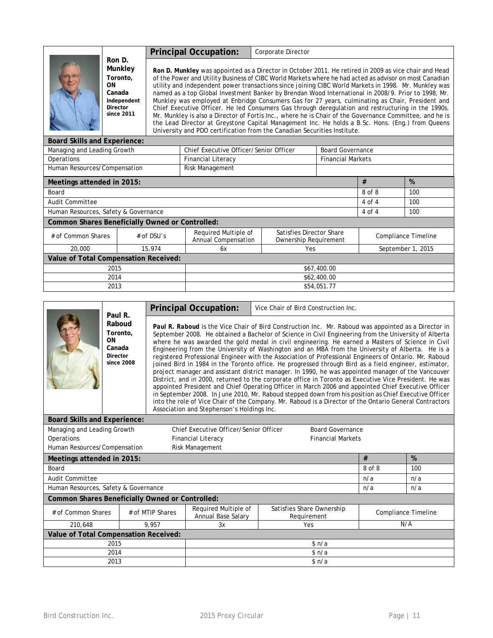|                                                 |                                                                                               |              | <b>Principal Occupation:</b><br>Corporate Director                                                                                                                                                                                                                                                                                                                                                                                                                                                                                                                                                                                                                                                                                                                                                                                                                                                                                  |             |                                                   |                         |            |                            |  |
|-------------------------------------------------|-----------------------------------------------------------------------------------------------|--------------|-------------------------------------------------------------------------------------------------------------------------------------------------------------------------------------------------------------------------------------------------------------------------------------------------------------------------------------------------------------------------------------------------------------------------------------------------------------------------------------------------------------------------------------------------------------------------------------------------------------------------------------------------------------------------------------------------------------------------------------------------------------------------------------------------------------------------------------------------------------------------------------------------------------------------------------|-------------|---------------------------------------------------|-------------------------|------------|----------------------------|--|
|                                                 | Ron D.<br>Munkley<br>Toronto.<br>ON<br>Canada<br>Independent<br><b>Director</b><br>since 2011 |              | Ron D. Munkley was appointed as a Director in October 2011. He retired in 2009 as vice chair and Head<br>of the Power and Utility Business of CIBC World Markets where he had acted as advisor on most Canadian<br>utility and independent power transactions since joining CIBC World Markets in 1998. Mr. Munkley was<br>named as a top Global Investment Banker by Brendan Wood International in 2008/9. Prior to 1998, Mr.<br>Munkley was employed at Enbridge Consumers Gas for 27 years, culminating as Chair, President and<br>Chief Executive Officer. He led Consumers Gas through deregulation and restructuring in the 1990s.<br>Mr. Munkley is also a Director of Fortis Inc., where he is Chair of the Governance Committee, and he is<br>the Lead Director at Greystone Capital Management Inc. He holds a B.Sc. Hons. (Eng.) from Queens<br>University and PDO certification from the Canadian Securities Institute. |             |                                                   |                         |            |                            |  |
| <b>Board Skills and Experience:</b>             |                                                                                               |              |                                                                                                                                                                                                                                                                                                                                                                                                                                                                                                                                                                                                                                                                                                                                                                                                                                                                                                                                     |             |                                                   |                         |            |                            |  |
| Managing and Leading Growth                     |                                                                                               |              | Chief Executive Officer/Senior Officer                                                                                                                                                                                                                                                                                                                                                                                                                                                                                                                                                                                                                                                                                                                                                                                                                                                                                              |             |                                                   | <b>Board Governance</b> |            |                            |  |
| Operations<br><b>Financial Literacy</b>         |                                                                                               |              |                                                                                                                                                                                                                                                                                                                                                                                                                                                                                                                                                                                                                                                                                                                                                                                                                                                                                                                                     |             | <b>Financial Markets</b>                          |                         |            |                            |  |
| Human Resources/Compensation                    |                                                                                               |              | Risk Management                                                                                                                                                                                                                                                                                                                                                                                                                                                                                                                                                                                                                                                                                                                                                                                                                                                                                                                     |             |                                                   |                         |            |                            |  |
| Meetings attended in 2015:                      |                                                                                               |              |                                                                                                                                                                                                                                                                                                                                                                                                                                                                                                                                                                                                                                                                                                                                                                                                                                                                                                                                     | #           |                                                   |                         |            | %                          |  |
| Board                                           |                                                                                               |              |                                                                                                                                                                                                                                                                                                                                                                                                                                                                                                                                                                                                                                                                                                                                                                                                                                                                                                                                     |             |                                                   |                         | 8 of 8     | 100                        |  |
| Audit Committee                                 |                                                                                               |              |                                                                                                                                                                                                                                                                                                                                                                                                                                                                                                                                                                                                                                                                                                                                                                                                                                                                                                                                     |             |                                                   |                         | $4$ of $4$ | 100                        |  |
| Human Resources, Safety & Governance            |                                                                                               |              |                                                                                                                                                                                                                                                                                                                                                                                                                                                                                                                                                                                                                                                                                                                                                                                                                                                                                                                                     |             |                                                   |                         | 4 of 4     | 100                        |  |
| Common Shares Beneficially Owned or Controlled: |                                                                                               |              |                                                                                                                                                                                                                                                                                                                                                                                                                                                                                                                                                                                                                                                                                                                                                                                                                                                                                                                                     |             |                                                   |                         |            |                            |  |
| # of Common Shares                              |                                                                                               | $#$ of DSU's | Required Multiple of<br>Annual Compensation                                                                                                                                                                                                                                                                                                                                                                                                                                                                                                                                                                                                                                                                                                                                                                                                                                                                                         |             | Satisfies Director Share<br>Ownership Requirement |                         |            | <b>Compliance Timeline</b> |  |
| 20,000                                          |                                                                                               | 15,974       | September 1, 2015<br>6x<br>Yes                                                                                                                                                                                                                                                                                                                                                                                                                                                                                                                                                                                                                                                                                                                                                                                                                                                                                                      |             |                                                   |                         |            |                            |  |
| Value of Total Compensation Received:           |                                                                                               |              |                                                                                                                                                                                                                                                                                                                                                                                                                                                                                                                                                                                                                                                                                                                                                                                                                                                                                                                                     |             |                                                   |                         |            |                            |  |
| 2015                                            |                                                                                               |              | \$67,400.00                                                                                                                                                                                                                                                                                                                                                                                                                                                                                                                                                                                                                                                                                                                                                                                                                                                                                                                         |             |                                                   |                         |            |                            |  |
| 2014                                            |                                                                                               |              | \$62,400.00                                                                                                                                                                                                                                                                                                                                                                                                                                                                                                                                                                                                                                                                                                                                                                                                                                                                                                                         |             |                                                   |                         |            |                            |  |
| 2013                                            |                                                                                               |              |                                                                                                                                                                                                                                                                                                                                                                                                                                                                                                                                                                                                                                                                                                                                                                                                                                                                                                                                     | \$54,051.77 |                                                   |                         |            |                            |  |

|                                                        | Paul R.                                                      |                  | <b>Principal Occupation:</b>                                                                                                                                                                                                                                                                                                                                                                                                                                                                                                                                                                                                                                                                                                                                                                                                                                                                                                                                                                                                                                                                                                                                                                                                       |  | Vice Chair of Bird Construction Inc. |     |     |  |  |
|--------------------------------------------------------|--------------------------------------------------------------|------------------|------------------------------------------------------------------------------------------------------------------------------------------------------------------------------------------------------------------------------------------------------------------------------------------------------------------------------------------------------------------------------------------------------------------------------------------------------------------------------------------------------------------------------------------------------------------------------------------------------------------------------------------------------------------------------------------------------------------------------------------------------------------------------------------------------------------------------------------------------------------------------------------------------------------------------------------------------------------------------------------------------------------------------------------------------------------------------------------------------------------------------------------------------------------------------------------------------------------------------------|--|--------------------------------------|-----|-----|--|--|
|                                                        | Raboud<br>Toronto,<br>ON<br>Canada<br>Director<br>since 2008 |                  | Paul R. Raboud is the Vice Chair of Bird Construction Inc. Mr. Raboud was appointed as a Director in<br>September 2008. He obtained a Bachelor of Science in Civil Engineering from the University of Alberta<br>where he was awarded the gold medal in civil engineering. He earned a Masters of Science in Civil<br>Engineering from the University of Washington and an MBA from the University of Alberta. He is a<br>registered Professional Engineer with the Association of Professional Engineers of Ontario. Mr. Raboud<br>joined Bird in 1984 in the Toronto office. He progressed through Bird as a field engineer, estimator,<br>project manager and assistant district manager. In 1990, he was appointed manager of the Vancouver<br>District, and in 2000, returned to the corporate office in Toronto as Executive Vice President. He was<br>appointed President and Chief Operating Officer in March 2006 and appointed Chief Executive Officer<br>in September 2008. In June 2010, Mr. Raboud stepped down from his position as Chief Executive Officer<br>into the role of Vice Chair of the Company. Mr. Raboud is a Director of the Ontario General Contractors<br>Association and Stephenson's Holdings Inc. |  |                                      |     |     |  |  |
|                                                        | <b>Board Skills and Experience:</b>                          |                  |                                                                                                                                                                                                                                                                                                                                                                                                                                                                                                                                                                                                                                                                                                                                                                                                                                                                                                                                                                                                                                                                                                                                                                                                                                    |  |                                      |     |     |  |  |
| Managing and Leading Growth                            |                                                              |                  | Chief Executive Officer/Senior Officer                                                                                                                                                                                                                                                                                                                                                                                                                                                                                                                                                                                                                                                                                                                                                                                                                                                                                                                                                                                                                                                                                                                                                                                             |  | <b>Board Governance</b>              |     |     |  |  |
| Operations                                             |                                                              |                  | <b>Financial Literacy</b>                                                                                                                                                                                                                                                                                                                                                                                                                                                                                                                                                                                                                                                                                                                                                                                                                                                                                                                                                                                                                                                                                                                                                                                                          |  | <b>Financial Markets</b>             |     |     |  |  |
| Human Resources/Compensation                           |                                                              |                  | Risk Management                                                                                                                                                                                                                                                                                                                                                                                                                                                                                                                                                                                                                                                                                                                                                                                                                                                                                                                                                                                                                                                                                                                                                                                                                    |  |                                      |     |     |  |  |
| Meetings attended in 2015:                             |                                                              |                  |                                                                                                                                                                                                                                                                                                                                                                                                                                                                                                                                                                                                                                                                                                                                                                                                                                                                                                                                                                                                                                                                                                                                                                                                                                    |  |                                      | #   | %   |  |  |
| Board                                                  |                                                              |                  | 8 of 8                                                                                                                                                                                                                                                                                                                                                                                                                                                                                                                                                                                                                                                                                                                                                                                                                                                                                                                                                                                                                                                                                                                                                                                                                             |  |                                      |     | 100 |  |  |
| <b>Audit Committee</b>                                 |                                                              |                  |                                                                                                                                                                                                                                                                                                                                                                                                                                                                                                                                                                                                                                                                                                                                                                                                                                                                                                                                                                                                                                                                                                                                                                                                                                    |  |                                      | n/a | n/a |  |  |
| Human Resources, Safety & Governance                   |                                                              |                  |                                                                                                                                                                                                                                                                                                                                                                                                                                                                                                                                                                                                                                                                                                                                                                                                                                                                                                                                                                                                                                                                                                                                                                                                                                    |  |                                      | n/a | n/a |  |  |
| <b>Common Shares Beneficially Owned or Controlled:</b> |                                                              |                  |                                                                                                                                                                                                                                                                                                                                                                                                                                                                                                                                                                                                                                                                                                                                                                                                                                                                                                                                                                                                                                                                                                                                                                                                                                    |  |                                      |     |     |  |  |
| # of Common Shares                                     |                                                              | # of MTIP Shares | Required Multiple of<br>Satisfies Share Ownership<br><b>Compliance Timeline</b><br>Annual Base Salary<br>Requirement                                                                                                                                                                                                                                                                                                                                                                                                                                                                                                                                                                                                                                                                                                                                                                                                                                                                                                                                                                                                                                                                                                               |  |                                      |     |     |  |  |
| 210,648                                                |                                                              | 9.957            | N/A<br>3x<br>Yes                                                                                                                                                                                                                                                                                                                                                                                                                                                                                                                                                                                                                                                                                                                                                                                                                                                                                                                                                                                                                                                                                                                                                                                                                   |  |                                      |     |     |  |  |
| Value of Total Compensation Received:                  |                                                              |                  |                                                                                                                                                                                                                                                                                                                                                                                                                                                                                                                                                                                                                                                                                                                                                                                                                                                                                                                                                                                                                                                                                                                                                                                                                                    |  |                                      |     |     |  |  |
| 2015                                                   |                                                              |                  | \$n/a                                                                                                                                                                                                                                                                                                                                                                                                                                                                                                                                                                                                                                                                                                                                                                                                                                                                                                                                                                                                                                                                                                                                                                                                                              |  |                                      |     |     |  |  |
| 2014                                                   |                                                              |                  | \$n/a                                                                                                                                                                                                                                                                                                                                                                                                                                                                                                                                                                                                                                                                                                                                                                                                                                                                                                                                                                                                                                                                                                                                                                                                                              |  |                                      |     |     |  |  |
| 2013                                                   |                                                              |                  | \$n/a                                                                                                                                                                                                                                                                                                                                                                                                                                                                                                                                                                                                                                                                                                                                                                                                                                                                                                                                                                                                                                                                                                                                                                                                                              |  |                                      |     |     |  |  |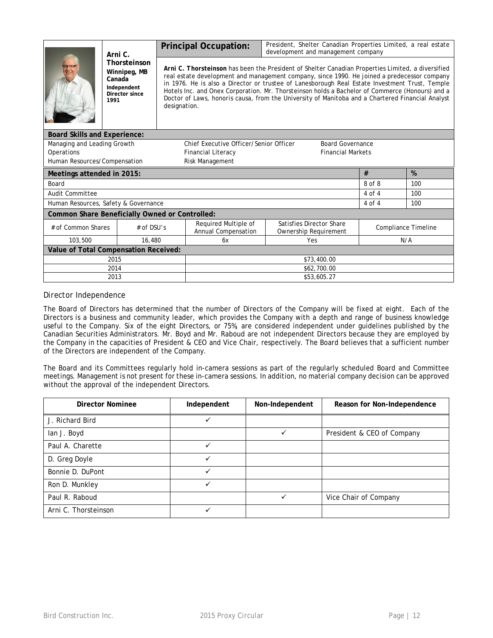|                                                | Arni C.                                                                         |              | <b>Principal Occupation:</b>                                      | President, Shelter Canadian Properties Limited, a real estate<br>development and management company                                                                                                                                                                                                                                                                                                                                                                                                       |            |                            |  |  |  |
|------------------------------------------------|---------------------------------------------------------------------------------|--------------|-------------------------------------------------------------------|-----------------------------------------------------------------------------------------------------------------------------------------------------------------------------------------------------------------------------------------------------------------------------------------------------------------------------------------------------------------------------------------------------------------------------------------------------------------------------------------------------------|------------|----------------------------|--|--|--|
|                                                | Thorsteinson<br>Winnipeg, MB<br>Canada<br>Independent<br>Director since<br>1991 | designation. |                                                                   | Arni C. Thorsteinson has been the President of Shelter Canadian Properties Limited, a diversified<br>real estate development and management company, since 1990. He joined a predecessor company<br>in 1976. He is also a Director or trustee of Lanesborough Real Estate Investment Trust, Temple<br>Hotels Inc. and Onex Corporation. Mr. Thorsteinson holds a Bachelor of Commerce (Honours) and a<br>Doctor of Laws, honoris causa, from the University of Manitoba and a Chartered Financial Analyst |            |                            |  |  |  |
| <b>Board Skills and Experience:</b>            |                                                                                 |              |                                                                   |                                                                                                                                                                                                                                                                                                                                                                                                                                                                                                           |            |                            |  |  |  |
| Managing and Leading Growth                    |                                                                                 |              | Chief Executive Officer/Senior Officer<br><b>Board Governance</b> |                                                                                                                                                                                                                                                                                                                                                                                                                                                                                                           |            |                            |  |  |  |
| Operations                                     |                                                                                 |              | <b>Financial Literacy</b><br><b>Financial Markets</b>             |                                                                                                                                                                                                                                                                                                                                                                                                                                                                                                           |            |                            |  |  |  |
| Human Resources/Compensation                   |                                                                                 |              | Risk Management                                                   |                                                                                                                                                                                                                                                                                                                                                                                                                                                                                                           |            |                            |  |  |  |
| Meetings attended in 2015:                     |                                                                                 |              |                                                                   | #                                                                                                                                                                                                                                                                                                                                                                                                                                                                                                         | %          |                            |  |  |  |
| Board                                          |                                                                                 |              |                                                                   | 8 of 8                                                                                                                                                                                                                                                                                                                                                                                                                                                                                                    | 100        |                            |  |  |  |
| <b>Audit Committee</b>                         |                                                                                 |              |                                                                   | $4$ of $4$                                                                                                                                                                                                                                                                                                                                                                                                                                                                                                | 100        |                            |  |  |  |
| Human Resources, Safety & Governance           |                                                                                 |              |                                                                   |                                                                                                                                                                                                                                                                                                                                                                                                                                                                                                           | $4$ of $4$ | 100                        |  |  |  |
| Common Share Beneficially Owned or Controlled: |                                                                                 |              |                                                                   |                                                                                                                                                                                                                                                                                                                                                                                                                                                                                                           |            |                            |  |  |  |
| # of Common Shares<br>$#$ of DSU's             |                                                                                 |              | Required Multiple of<br>Annual Compensation                       | Satisfies Director Share<br>Ownership Requirement                                                                                                                                                                                                                                                                                                                                                                                                                                                         |            | <b>Compliance Timeline</b> |  |  |  |
| 103,500                                        | 16,480                                                                          |              | N/A<br>Yes<br>6x                                                  |                                                                                                                                                                                                                                                                                                                                                                                                                                                                                                           |            |                            |  |  |  |
| Value of Total Compensation Received:          |                                                                                 |              |                                                                   |                                                                                                                                                                                                                                                                                                                                                                                                                                                                                                           |            |                            |  |  |  |
| 2015                                           |                                                                                 |              | \$73,400.00                                                       |                                                                                                                                                                                                                                                                                                                                                                                                                                                                                                           |            |                            |  |  |  |
| 2014                                           |                                                                                 |              | \$62,700.00                                                       |                                                                                                                                                                                                                                                                                                                                                                                                                                                                                                           |            |                            |  |  |  |
| 2013                                           |                                                                                 |              | \$53,605.27                                                       |                                                                                                                                                                                                                                                                                                                                                                                                                                                                                                           |            |                            |  |  |  |

# *Director Independence*

The Board of Directors has determined that the number of Directors of the Company will be fixed at eight. Each of the Directors is a business and community leader, which provides the Company with a depth and range of business knowledge useful to the Company. Six of the eight Directors, or 75%, are considered independent under guidelines published by the Canadian Securities Administrators. Mr. Boyd and Mr. Raboud are not independent Directors because they are employed by the Company in the capacities of President & CEO and Vice Chair, respectively. The Board believes that a sufficient number of the Directors are independent of the Company.

The Board and its Committees regularly hold in-camera sessions as part of the regularly scheduled Board and Committee meetings. Management is not present for these in-camera sessions. In addition, no material company decision can be approved without the approval of the independent Directors.

| <b>Director Nominee</b> | Independent  | Non-Independent | Reason for Non-Independence |
|-------------------------|--------------|-----------------|-----------------------------|
| J. Richard Bird         |              |                 |                             |
| lan J. Boyd             |              | v               | President & CEO of Company  |
| Paul A. Charette        | ✓            |                 |                             |
| D. Greg Doyle           | $\checkmark$ |                 |                             |
| Bonnie D. DuPont        | ✓            |                 |                             |
| Ron D. Munkley          | ✓            |                 |                             |
| Paul R. Raboud          |              | ✓               | Vice Chair of Company       |
| Arni C. Thorsteinson    | ✓            |                 |                             |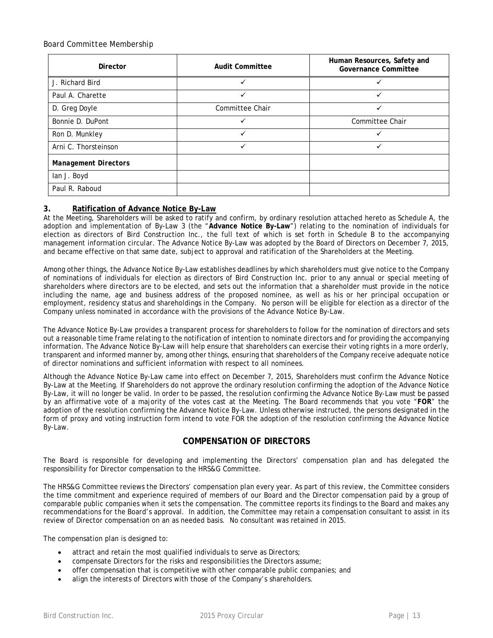# *Board Committee Membership*

| <b>Director</b>             | <b>Audit Committee</b> | Human Resources, Safety and<br><b>Governance Committee</b> |
|-----------------------------|------------------------|------------------------------------------------------------|
| J. Richard Bird             |                        |                                                            |
| Paul A. Charette            | $\checkmark$           |                                                            |
| D. Greg Doyle               | Committee Chair        | ✓                                                          |
| Bonnie D. DuPont            | ✓                      | Committee Chair                                            |
| Ron D. Munkley              | $\checkmark$           |                                                            |
| Arni C. Thorsteinson        | $\checkmark$           | ✓                                                          |
| <b>Management Directors</b> |                        |                                                            |
| lan J. Boyd                 |                        |                                                            |
| Paul R. Raboud              |                        |                                                            |

# **3. Ratification of Advance Notice By-Law**

At the Meeting, Shareholders will be asked to ratify and confirm, by ordinary resolution attached hereto as Schedule A, the adoption and implementation of By-Law 3 (the "**Advance Notice By-Law**") relating to the nomination of individuals for election as directors of Bird Construction Inc., the full text of which is set forth in Schedule B to the accompanying management information circular. The Advance Notice By-Law was adopted by the Board of Directors on December 7, 2015, and became effective on that same date, subject to approval and ratification of the Shareholders at the Meeting.

Among other things, the Advance Notice By-Law establishes deadlines by which shareholders must give notice to the Company of nominations of individuals for election as directors of Bird Construction Inc. prior to any annual or special meeting of shareholders where directors are to be elected, and sets out the information that a shareholder must provide in the notice including the name, age and business address of the proposed nominee, as well as his or her principal occupation or employment, residency status and shareholdings in the Company. No person will be eligible for election as a director of the Company unless nominated in accordance with the provisions of the Advance Notice By-Law.

The Advance Notice By-Law provides a transparent process for shareholders to follow for the nomination of directors and sets out a reasonable time frame relating to the notification of intention to nominate directors and for providing the accompanying information. The Advance Notice By-Law will help ensure that shareholders can exercise their voting rights in a more orderly, transparent and informed manner by, among other things, ensuring that shareholders of the Company receive adequate notice of director nominations and sufficient information with respect to all nominees.

Although the Advance Notice By-Law came into effect on December 7, 2015, Shareholders must confirm the Advance Notice By-Law at the Meeting. If Shareholders do not approve the ordinary resolution confirming the adoption of the Advance Notice By-Law, it will no longer be valid. In order to be passed, the resolution confirming the Advance Notice By-Law must be passed by an affirmative vote of a majority of the votes cast at the Meeting. The Board recommends that you vote "**FOR**" the adoption of the resolution confirming the Advance Notice By-Law. Unless otherwise instructed, the persons designated in the form of proxy and voting instruction form intend to vote FOR the adoption of the resolution confirming the Advance Notice By-Law.

# **COMPENSATION OF DIRECTORS**

The Board is responsible for developing and implementing the Directors' compensation plan and has delegated the responsibility for Director compensation to the HRS&G Committee.

The HRS&G Committee reviews the Directors' compensation plan every year. As part of this review, the Committee considers the time commitment and experience required of members of our Board and the Director compensation paid by a group of comparable public companies when it sets the compensation. The committee reports its findings to the Board and makes any recommendations for the Board's approval. In addition, the Committee may retain a compensation consultant to assist in its review of Director compensation on an as needed basis. No consultant was retained in 2015.

The compensation plan is designed to:

- attract and retain the most qualified individuals to serve as Directors;
- compensate Directors for the risks and responsibilities the Directors assume;
- offer compensation that is competitive with other comparable public companies; and
- align the interests of Directors with those of the Company's shareholders.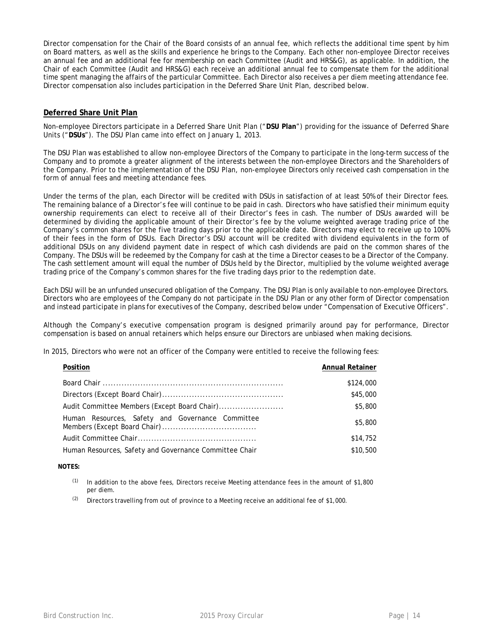Director compensation for the Chair of the Board consists of an annual fee, which reflects the additional time spent by him on Board matters, as well as the skills and experience he brings to the Company. Each other non-employee Director receives an annual fee and an additional fee for membership on each Committee (Audit and HRS&G), as applicable. In addition, the Chair of each Committee (Audit and HRS&G) each receive an additional annual fee to compensate them for the additional time spent managing the affairs of the particular Committee. Each Director also receives a per diem meeting attendance fee. Director compensation also includes participation in the Deferred Share Unit Plan, described below.

# **Deferred Share Unit Plan**

Non-employee Directors participate in a Deferred Share Unit Plan ("**DSU Plan**") providing for the issuance of Deferred Share Units ("**DSUs**"). The DSU Plan came into effect on January 1, 2013.

The DSU Plan was established to allow non-employee Directors of the Company to participate in the long-term success of the Company and to promote a greater alignment of the interests between the non-employee Directors and the Shareholders of the Company. Prior to the implementation of the DSU Plan, non-employee Directors only received cash compensation in the form of annual fees and meeting attendance fees.

Under the terms of the plan, each Director will be credited with DSUs in satisfaction of at least 50% of their Director fees. The remaining balance of a Director's fee will continue to be paid in cash. Directors who have satisfied their minimum equity ownership requirements can elect to receive all of their Director's fees in cash. The number of DSUs awarded will be determined by dividing the applicable amount of their Director's fee by the volume weighted average trading price of the Company's common shares for the five trading days prior to the applicable date. Directors may elect to receive up to 100% of their fees in the form of DSUs. Each Director's DSU account will be credited with dividend equivalents in the form of additional DSUs on any dividend payment date in respect of which cash dividends are paid on the common shares of the Company. The DSUs will be redeemed by the Company for cash at the time a Director ceases to be a Director of the Company. The cash settlement amount will equal the number of DSUs held by the Director, multiplied by the volume weighted average trading price of the Company's common shares for the five trading days prior to the redemption date.

Each DSU will be an unfunded unsecured obligation of the Company. The DSU Plan is only available to non-employee Directors. Directors who are employees of the Company do not participate in the DSU Plan or any other form of Director compensation and instead participate in plans for executives of the Company, described below under "Compensation of Executive Officers".

Although the Company's executive compensation program is designed primarily around pay for performance, Director compensation is based on annual retainers which helps ensure our Directors are unbiased when making decisions.

In 2015, Directors who were not an officer of the Company were entitled to receive the following fees:

| Position                                               | <b>Annual Retainer</b> |
|--------------------------------------------------------|------------------------|
|                                                        | \$124,000              |
|                                                        | \$45,000               |
| Audit Committee Members (Except Board Chair)           | \$5,800                |
| Human Resources, Safety and Governance Committee       | \$5,800                |
|                                                        | \$14,752               |
| Human Resources, Safety and Governance Committee Chair | \$10,500               |

### **NOTES:**

- In addition to the above fees, Directors receive Meeting attendance fees in the amount of \$1,800 per diem.
- $(2)$  Directors travelling from out of province to a Meeting receive an additional fee of \$1,000.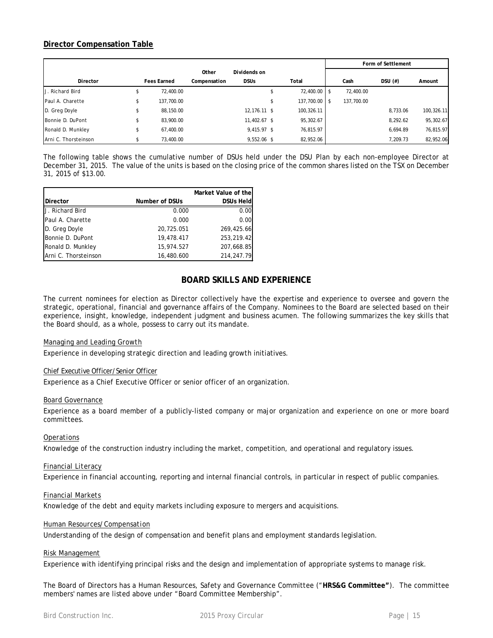# **Director Compensation Table**

|                      |                    |              |              |               |            | Form of Settlement |            |
|----------------------|--------------------|--------------|--------------|---------------|------------|--------------------|------------|
|                      |                    | Other        | Dividends on |               |            |                    |            |
| Director             | <b>Fees Earned</b> | Compensation | <b>DSUs</b>  | Total         | Cash       | $DSU$ $(\#)$       | Amount     |
| U. Richard Bird      | 72,400.00          |              |              | 72,400.00 \$  | 72,400.00  |                    |            |
| Paul A. Charette     | 137,700.00         |              |              | 137,700.00 \$ | 137,700.00 |                    |            |
| D. Greg Doyle        | 88,150.00          |              | 12,176.11 \$ | 100,326.11    |            | 8,733.06           | 100,326.11 |
| Bonnie D. DuPont     | 83,900.00          |              | 11,402.67 \$ | 95,302.67     |            | 8,292.62           | 95,302.67  |
| Ronald D. Munkley    | 67,400.00          |              | 9,415.97 \$  | 76,815.97     |            | 6,694.89           | 76,815.97  |
| Arni C. Thorsteinson | 73,400.00          |              | 9,552.06 \$  | 82,952.06     |            | 7.209.73           | 82,952.06  |

The following table shows the cumulative number of DSUs held under the DSU Plan by each non-employee Director at December 31, 2015. The value of the units is based on the closing price of the common shares listed on the TSX on December 31, 2015 of \$13.00.

|                      |                | Market Value of the |
|----------------------|----------------|---------------------|
| <b>IDirector</b>     | Number of DSUs | <b>DSUs Held</b>    |
| U. Richard Bird      | 0.000          | 0.00                |
| Paul A. Charette     | 0.000          | 0.00                |
| D. Greg Doyle        | 20,725.051     | 269,425.66          |
| Bonnie D. DuPont     | 19,478.417     | 253,219.42          |
| Ronald D. Munkley    | 15,974.527     | 207,668.85          |
| Arni C. Thorsteinson | 16,480.600     | 214, 247. 79        |

# **BOARD SKILLS AND EXPERIENCE**

The current nominees for election as Director collectively have the expertise and experience to oversee and govern the strategic, operational, financial and governance affairs of the Company. Nominees to the Board are selected based on their experience, insight, knowledge, independent judgment and business acumen. The following summarizes the key skills that the Board should, as a whole, possess to carry out its mandate.

### *Managing and Leading Growth*

Experience in developing strategic direction and leading growth initiatives.

### *Chief Executive Officer/Senior Officer*

Experience as a Chief Executive Officer or senior officer of an organization.

### *Board Governance*

Experience as a board member of a publicly-listed company or major organization and experience on one or more board committees.

# *Operations*

Knowledge of the construction industry including the market, competition, and operational and regulatory issues.

### *Financial Literacy*

Experience in financial accounting, reporting and internal financial controls, in particular in respect of public companies.

### *Financial Markets*

Knowledge of the debt and equity markets including exposure to mergers and acquisitions.

### *Human Resources/Compensation*

Understanding of the design of compensation and benefit plans and employment standards legislation.

### *Risk Management*

Experience with identifying principal risks and the design and implementation of appropriate systems to manage risk.

The Board of Directors has a Human Resources, Safety and Governance Committee ("**HRS&G Committee"**). The committee members' names are listed above under "Board Committee Membership".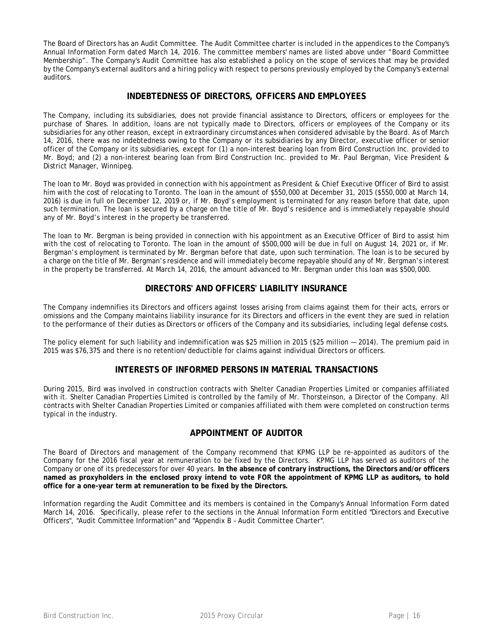The Board of Directors has an Audit Committee. The Audit Committee charter is included in the appendices to the Company's Annual Information Form dated March 14, 2016. The committee members' names are listed above under "Board Committee Membership". The Company's Audit Committee has also established a policy on the scope of services that may be provided by the Company's external auditors and a hiring policy with respect to persons previously employed by the Company's external auditors.

# **INDEBTEDNESS OF DIRECTORS, OFFICERS AND EMPLOYEES**

The Company, including its subsidiaries, does not provide financial assistance to Directors, officers or employees for the purchase of Shares. In addition, loans are not typically made to Directors, officers or employees of the Company or its subsidiaries for any other reason, except in extraordinary circumstances when considered advisable by the Board. As of March 14, 2016, there was no indebtedness owing to the Company or its subsidiaries by any Director, executive officer or senior officer of the Company or its subsidiaries, except for (1) a non-interest bearing loan from Bird Construction Inc. provided to Mr. Boyd; and (2) a non-interest bearing loan from Bird Construction Inc. provided to Mr. Paul Bergman, Vice President & District Manager, Winnipeg.

The loan to Mr. Boyd was provided in connection with his appointment as President & Chief Executive Officer of Bird to assist him with the cost of relocating to Toronto. The loan in the amount of \$550,000 at December 31, 2015 (\$550,000 at March 14, 2016) is due in full on December 12, 2019 or, if Mr. Boyd's employment is terminated for any reason before that date, upon such termination. The loan is secured by a charge on the title of Mr. Boyd's residence and is immediately repayable should any of Mr. Boyd's interest in the property be transferred.

The loan to Mr. Bergman is being provided in connection with his appointment as an Executive Officer of Bird to assist him with the cost of relocating to Toronto. The loan in the amount of \$500,000 will be due in full on August 14, 2021 or, if Mr. Bergman's employment is terminated by Mr. Bergman before that date, upon such termination. The loan is to be secured by a charge on the title of Mr. Bergman's residence and will immediately become repayable should any of Mr. Bergman's interest in the property be transferred. At March 14, 2016, the amount advanced to Mr. Bergman under this loan was \$500,000.

# **DIRECTORS' AND OFFICERS' LIABILITY INSURANCE**

The Company indemnifies its Directors and officers against losses arising from claims against them for their acts, errors or omissions and the Company maintains liability insurance for its Directors and officers in the event they are sued in relation to the performance of their duties as Directors or officers of the Company and its subsidiaries, including legal defense costs.

The policy element for such liability and indemnification was \$25 million in 2015 (\$25 million — 2014). The premium paid in 2015 was \$76,375 and there is no retention/deductible for claims against individual Directors or officers.

# **INTERESTS OF INFORMED PERSONS IN MATERIAL TRANSACTIONS**

During 2015, Bird was involved in construction contracts with Shelter Canadian Properties Limited or companies affiliated with it. Shelter Canadian Properties Limited is controlled by the family of Mr. Thorsteinson, a Director of the Company. All contracts with Shelter Canadian Properties Limited or companies affiliated with them were completed on construction terms typical in the industry.

# **APPOINTMENT OF AUDITOR**

The Board of Directors and management of the Company recommend that KPMG LLP be re-appointed as auditors of the Company for the 2016 fiscal year at remuneration to be fixed by the Directors. KPMG LLP has served as auditors of the Company or one of its predecessors for over 40 years. **In the absence of contrary instructions, the Directors and/or officers named as proxyholders in the enclosed proxy intend to vote FOR the appointment of KPMG LLP as auditors, to hold office for a one-year term at remuneration to be fixed by the Directors.**

Information regarding the Audit Committee and its members is contained in the Company's Annual Information Form dated March 14, 2016. Specifically, please refer to the sections in the Annual Information Form entitled "Directors and Executive Officers", "Audit Committee Information" and "Appendix B – Audit Committee Charter".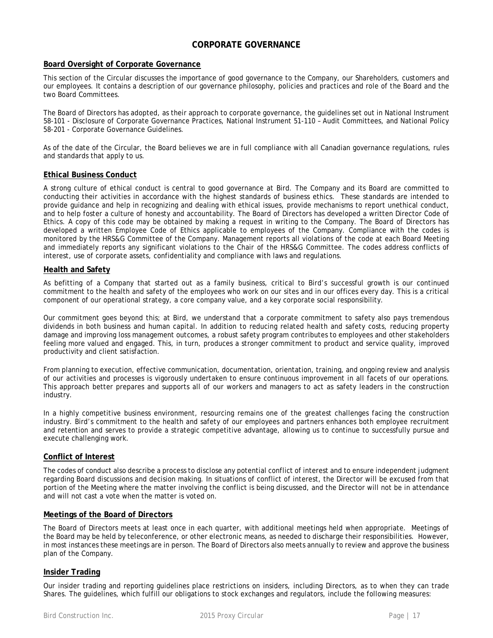# **CORPORATE GOVERNANCE**

### **Board Oversight of Corporate Governance**

This section of the Circular discusses the importance of good governance to the Company, our Shareholders, customers and our employees. It contains a description of our governance philosophy, policies and practices and role of the Board and the two Board Committees.

The Board of Directors has adopted, as their approach to corporate governance, the guidelines set out in National Instrument 58-101 - Disclosure of Corporate Governance Practices, National Instrument 51-110 – Audit Committees, and National Policy 58-201 - Corporate Governance Guidelines.

As of the date of the Circular, the Board believes we are in full compliance with all Canadian governance regulations, rules and standards that apply to us.

### **Ethical Business Conduct**

A strong culture of ethical conduct is central to good governance at Bird. The Company and its Board are committed to conducting their activities in accordance with the highest standards of business ethics. These standards are intended to provide guidance and help in recognizing and dealing with ethical issues, provide mechanisms to report unethical conduct, and to help foster a culture of honesty and accountability. The Board of Directors has developed a written Director Code of Ethics. A copy of this code may be obtained by making a request in writing to the Company. The Board of Directors has developed a written Employee Code of Ethics applicable to employees of the Company. Compliance with the codes is monitored by the HRS&G Committee of the Company. Management reports all violations of the code at each Board Meeting and immediately reports any significant violations to the Chair of the HRS&G Committee. The codes address conflicts of interest, use of corporate assets, confidentiality and compliance with laws and regulations.

### **Health and Safety**

As befitting of a Company that started out as a family business, critical to Bird's successful growth is our continued commitment to the health and safety of the employees who work on our sites and in our offices every day. This is a critical component of our operational strategy, a core company value, and a key corporate social responsibility.

Our commitment goes beyond this; at Bird, we understand that a corporate commitment to safety also pays tremendous dividends in both business and human capital. In addition to reducing related health and safety costs, reducing property damage and improving loss management outcomes, a robust safety program contributes to employees and other stakeholders feeling more valued and engaged. This, in turn, produces a stronger commitment to product and service quality, improved productivity and client satisfaction.

From planning to execution, effective communication, documentation, orientation, training, and ongoing review and analysis of our activities and processes is vigorously undertaken to ensure continuous improvement in all facets of our operations. This approach better prepares and supports all of our workers and managers to act as safety leaders in the construction industry.

In a highly competitive business environment, resourcing remains one of the greatest challenges facing the construction industry. Bird's commitment to the health and safety of our employees and partners enhances both employee recruitment and retention and serves to provide a strategic competitive advantage, allowing us to continue to successfully pursue and execute challenging work.

### **Conflict of Interest**

The codes of conduct also describe a process to disclose any potential conflict of interest and to ensure independent judgment regarding Board discussions and decision making. In situations of conflict of interest, the Director will be excused from that portion of the Meeting where the matter involving the conflict is being discussed, and the Director will not be in attendance and will not cast a vote when the matter is voted on.

### **Meetings of the Board of Directors**

The Board of Directors meets at least once in each quarter, with additional meetings held when appropriate. Meetings of the Board may be held by teleconference, or other electronic means, as needed to discharge their responsibilities. However, in most instances these meetings are in person. The Board of Directors also meets annually to review and approve the business plan of the Company.

# **Insider Trading**

Our insider trading and reporting guidelines place restrictions on insiders, including Directors, as to when they can trade Shares. The guidelines, which fulfill our obligations to stock exchanges and regulators, include the following measures: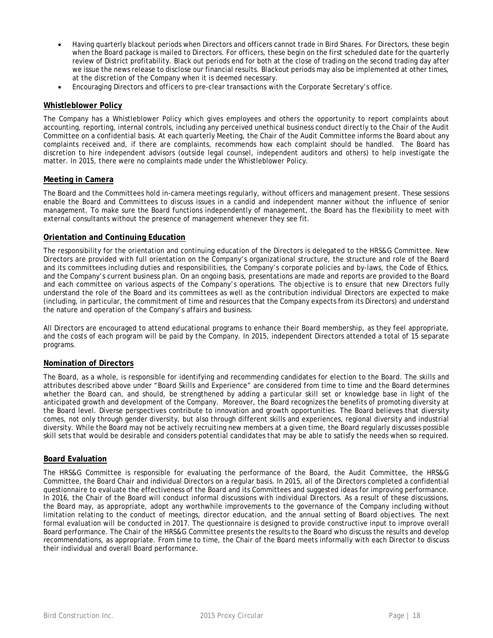- Having quarterly blackout periods when Directors and officers cannot trade in Bird Shares. For Directors, these begin when the Board package is mailed to Directors. For officers, these begin on the first scheduled date for the quarterly review of District profitability. Black out periods end for both at the close of trading on the second trading day after we issue the news release to disclose our financial results. Blackout periods may also be implemented at other times, at the discretion of the Company when it is deemed necessary.
- Encouraging Directors and officers to pre-clear transactions with the Corporate Secretary's office.

### **Whistleblower Policy**

The Company has a Whistleblower Policy which gives employees and others the opportunity to report complaints about accounting, reporting, internal controls, including any perceived unethical business conduct directly to the Chair of the Audit Committee on a confidential basis. At each quarterly Meeting, the Chair of the Audit Committee informs the Board about any complaints received and, if there are complaints, recommends how each complaint should be handled. The Board has discretion to hire independent advisors (outside legal counsel, independent auditors and others) to help investigate the matter. In 2015, there were no complaints made under the Whistleblower Policy.

### **Meeting in Camera**

The Board and the Committees hold in-camera meetings regularly, without officers and management present. These sessions enable the Board and Committees to discuss issues in a candid and independent manner without the influence of senior management. To make sure the Board functions independently of management, the Board has the flexibility to meet with external consultants without the presence of management whenever they see fit.

### **Orientation and Continuing Education**

The responsibility for the orientation and continuing education of the Directors is delegated to the HRS&G Committee. New Directors are provided with full orientation on the Company's organizational structure, the structure and role of the Board and its committees including duties and responsibilities, the Company's corporate policies and by-laws, the Code of Ethics, and the Company's current business plan. On an ongoing basis, presentations are made and reports are provided to the Board and each committee on various aspects of the Company's operations. The objective is to ensure that new Directors fully understand the role of the Board and its committees as well as the contribution individual Directors are expected to make (including, in particular, the commitment of time and resources that the Company expects from its Directors) and understand the nature and operation of the Company's affairs and business.

All Directors are encouraged to attend educational programs to enhance their Board membership, as they feel appropriate, and the costs of each program will be paid by the Company. In 2015, independent Directors attended a total of 15 separate programs.

# **Nomination of Directors**

The Board, as a whole, is responsible for identifying and recommending candidates for election to the Board. The skills and attributes described above under "Board Skills and Experience" are considered from time to time and the Board determines whether the Board can, and should, be strengthened by adding a particular skill set or knowledge base in light of the anticipated growth and development of the Company. Moreover, the Board recognizes the benefits of promoting diversity at the Board level. Diverse perspectives contribute to innovation and growth opportunities. The Board believes that diversity comes, not only through gender diversity, but also through different skills and experiences, regional diversity and industrial diversity. While the Board may not be actively recruiting new members at a given time, the Board regularly discusses possible skill sets that would be desirable and considers potential candidates that may be able to satisfy the needs when so required.

### **Board Evaluation**

The HRS&G Committee is responsible for evaluating the performance of the Board, the Audit Committee, the HRS&G Committee, the Board Chair and individual Directors on a regular basis. In 2015, all of the Directors completed a confidential questionnaire to evaluate the effectiveness of the Board and its Committees and suggested ideas for improving performance. In 2016, the Chair of the Board will conduct informal discussions with individual Directors. As a result of these discussions, the Board may, as appropriate, adopt any worthwhile improvements to the governance of the Company including without limitation relating to the conduct of meetings, director education, and the annual setting of Board objectives. The next formal evaluation will be conducted in 2017. The questionnaire is designed to provide constructive input to improve overall Board performance. The Chair of the HRS&G Committee presents the results to the Board who discuss the results and develop recommendations, as appropriate. From time to time, the Chair of the Board meets informally with each Director to discuss their individual and overall Board performance.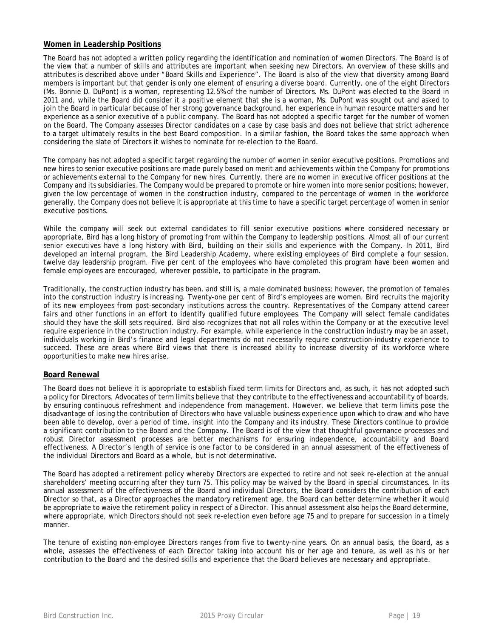# **Women in Leadership Positions**

The Board has not adopted a written policy regarding the identification and nomination of women Directors. The Board is of the view that a number of skills and attributes are important when seeking new Directors. An overview of these skills and attributes is described above under "Board Skills and Experience". The Board is also of the view that diversity among Board members is important but that gender is only one element of ensuring a diverse board. Currently, one of the eight Directors (Ms. Bonnie D. DuPont) is a woman, representing 12.5% of the number of Directors. Ms. DuPont was elected to the Board in 2011 and, while the Board did consider it a positive element that she is a woman, Ms. DuPont was sought out and asked to join the Board in particular because of her strong governance background, her experience in human resource matters and her experience as a senior executive of a public company. The Board has not adopted a specific target for the number of women on the Board. The Company assesses Director candidates on a case by case basis and does not believe that strict adherence to a target ultimately results in the best Board composition. In a similar fashion, the Board takes the same approach when considering the slate of Directors it wishes to nominate for re-election to the Board.

The company has not adopted a specific target regarding the number of women in senior executive positions. Promotions and new hires to senior executive positions are made purely based on merit and achievements within the Company for promotions or achievements external to the Company for new hires. Currently, there are no women in executive officer positions at the Company and its subsidiaries. The Company would be prepared to promote or hire women into more senior positions; however, given the low percentage of women in the construction industry, compared to the percentage of women in the workforce generally, the Company does not believe it is appropriate at this time to have a specific target percentage of women in senior executive positions.

While the company will seek out external candidates to fill senior executive positions where considered necessary or appropriate, Bird has a long history of promoting from within the Company to leadership positions. Almost all of our current senior executives have a long history with Bird, building on their skills and experience with the Company. In 2011, Bird developed an internal program, the Bird Leadership Academy, where existing employees of Bird complete a four session, twelve day leadership program. Five per cent of the employees who have completed this program have been women and female employees are encouraged, wherever possible, to participate in the program.

Traditionally, the construction industry has been, and still is, a male dominated business; however, the promotion of females into the construction industry is increasing. Twenty-one per cent of Bird's employees are women. Bird recruits the majority of its new employees from post-secondary institutions across the country. Representatives of the Company attend career fairs and other functions in an effort to identify qualified future employees. The Company will select female candidates should they have the skill sets required. Bird also recognizes that not all roles within the Company or at the executive level require experience in the construction industry. For example, while experience in the construction industry may be an asset, individuals working in Bird's finance and legal departments do not necessarily require construction-industry experience to succeed. These are areas where Bird views that there is increased ability to increase diversity of its workforce where opportunities to make new hires arise.

# **Board Renewal**

The Board does not believe it is appropriate to establish fixed term limits for Directors and, as such, it has not adopted such a policy for Directors. Advocates of term limits believe that they contribute to the effectiveness and accountability of boards, by ensuring continuous refreshment and independence from management. However, we believe that term limits pose the disadvantage of losing the contribution of Directors who have valuable business experience upon which to draw and who have been able to develop, over a period of time, insight into the Company and its industry. These Directors continue to provide a significant contribution to the Board and the Company. The Board is of the view that thoughtful governance processes and robust Director assessment processes are better mechanisms for ensuring independence, accountability and Board effectiveness. A Director's length of service is one factor to be considered in an annual assessment of the effectiveness of the individual Directors and Board as a whole, but is not determinative.

The Board has adopted a retirement policy whereby Directors are expected to retire and not seek re-election at the annual shareholders' meeting occurring after they turn 75. This policy may be waived by the Board in special circumstances. In its annual assessment of the effectiveness of the Board and individual Directors, the Board considers the contribution of each Director so that, as a Director approaches the mandatory retirement age, the Board can better determine whether it would be appropriate to waive the retirement policy in respect of a Director. This annual assessment also helps the Board determine, where appropriate, which Directors should not seek re-election even before age 75 and to prepare for succession in a timely manner.

The tenure of existing non-employee Directors ranges from five to twenty-nine years. On an annual basis, the Board, as a whole, assesses the effectiveness of each Director taking into account his or her age and tenure, as well as his or her contribution to the Board and the desired skills and experience that the Board believes are necessary and appropriate.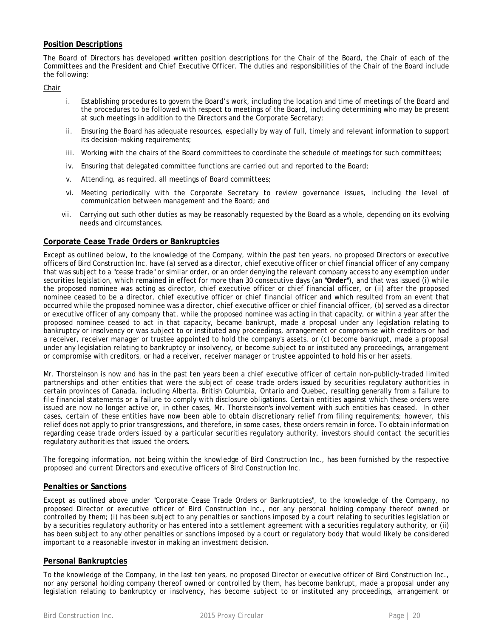# **Position Descriptions**

The Board of Directors has developed written position descriptions for the Chair of the Board, the Chair of each of the Committees and the President and Chief Executive Officer. The duties and responsibilities of the Chair of the Board include the following:

*Chair* 

- i. Establishing procedures to govern the Board's work, including the location and time of meetings of the Board and the procedures to be followed with respect to meetings of the Board, including determining who may be present at such meetings in addition to the Directors and the Corporate Secretary;
- ii. Ensuring the Board has adequate resources, especially by way of full, timely and relevant information to support its decision-making requirements;
- iii. Working with the chairs of the Board committees to coordinate the schedule of meetings for such committees;
- iv. Ensuring that delegated committee functions are carried out and reported to the Board;
- v. Attending, as required, all meetings of Board committees;
- vi. Meeting periodically with the Corporate Secretary to review governance issues, including the level of communication between management and the Board; and
- vii. Carrying out such other duties as may be reasonably requested by the Board as a whole, depending on its evolving needs and circumstances.

# **Corporate Cease Trade Orders or Bankruptcies**

Except as outlined below, to the knowledge of the Company, within the past ten years, no proposed Directors or executive officers of Bird Construction Inc. have (a) served as a director, chief executive officer or chief financial officer of any company that was subject to a "cease trade" or similar order, or an order denying the relevant company access to any exemption under securities legislation, which remained in effect for more than 30 consecutive days (an "**Order**"), and that was issued (i) while the proposed nominee was acting as director, chief executive officer or chief financial officer, or (ii) after the proposed nominee ceased to be a director, chief executive officer or chief financial officer and which resulted from an event that occurred while the proposed nominee was a director, chief executive officer or chief financial officer, (b) served as a director or executive officer of any company that, while the proposed nominee was acting in that capacity, or within a year after the proposed nominee ceased to act in that capacity, became bankrupt, made a proposal under any legislation relating to bankruptcy or insolvency or was subject to or instituted any proceedings, arrangement or compromise with creditors or had a receiver, receiver manager or trustee appointed to hold the company's assets, or (c) become bankrupt, made a proposal under any legislation relating to bankruptcy or insolvency, or become subject to or instituted any proceedings, arrangement or compromise with creditors, or had a receiver, receiver manager or trustee appointed to hold his or her assets.

Mr. Thorsteinson is now and has in the past ten years been a chief executive officer of certain non-publicly-traded limited partnerships and other entities that were the subject of cease trade orders issued by securities regulatory authorities in certain provinces of Canada, including Alberta, British Columbia, Ontario and Quebec, resulting generally from a failure to file financial statements or a failure to comply with disclosure obligations. Certain entities against which these orders were issued are now no longer active or, in other cases, Mr. Thorsteinson's involvement with such entities has ceased. In other cases, certain of these entities have now been able to obtain discretionary relief from filing requirements; however, this relief does not apply to prior transgressions, and therefore, in some cases, these orders remain in force. To obtain information regarding cease trade orders issued by a particular securities regulatory authority, investors should contact the securities regulatory authorities that issued the orders.

The foregoing information, not being within the knowledge of Bird Construction Inc., has been furnished by the respective proposed and current Directors and executive officers of Bird Construction Inc.

### **Penalties or Sanctions**

Except as outlined above under "Corporate Cease Trade Orders or Bankruptcies", to the knowledge of the Company, no proposed Director or executive officer of Bird Construction Inc., nor any personal holding company thereof owned or controlled by them; (i) has been subject to any penalties or sanctions imposed by a court relating to securities legislation or by a securities regulatory authority or has entered into a settlement agreement with a securities regulatory authority, or (ii) has been subject to any other penalties or sanctions imposed by a court or regulatory body that would likely be considered important to a reasonable investor in making an investment decision.

# **Personal Bankruptcies**

To the knowledge of the Company, in the last ten years, no proposed Director or executive officer of Bird Construction Inc., nor any personal holding company thereof owned or controlled by them, has become bankrupt, made a proposal under any legislation relating to bankruptcy or insolvency, has become subject to or instituted any proceedings, arrangement or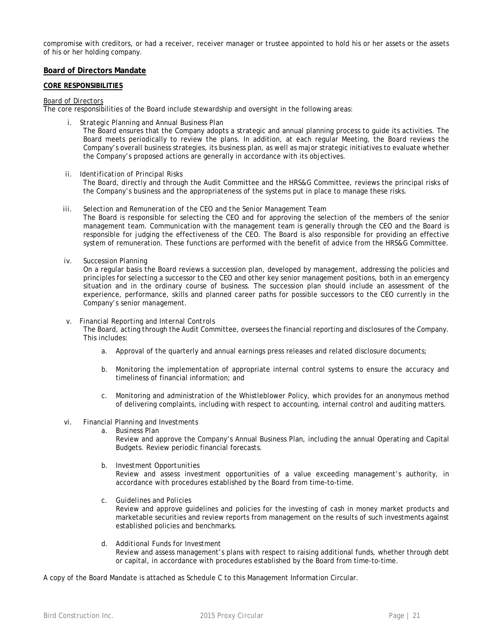compromise with creditors, or had a receiver, receiver manager or trustee appointed to hold his or her assets or the assets of his or her holding company.

### **Board of Directors Mandate**

#### **CORE RESPONSIBILITIES**

#### *Board of Directors*

The core responsibilities of the Board include stewardship and oversight in the following areas:

*i. Strategic Planning and Annual Business Plan*

The Board ensures that the Company adopts a strategic and annual planning process to guide its activities. The Board meets periodically to review the plans. In addition, at each regular Meeting, the Board reviews the Company's overall business strategies, its business plan, as well as major strategic initiatives to evaluate whether the Company's proposed actions are generally in accordance with its objectives.

*ii. Identification of Principal Risks*

The Board, directly and through the Audit Committee and the HRS&G Committee, reviews the principal risks of the Company's business and the appropriateness of the systems put in place to manage these risks.

*iii. Selection and Remuneration of the CEO and the Senior Management Team*

The Board is responsible for selecting the CEO and for approving the selection of the members of the senior management team. Communication with the management team is generally through the CEO and the Board is responsible for judging the effectiveness of the CEO. The Board is also responsible for providing an effective system of remuneration. These functions are performed with the benefit of advice from the HRS&G Committee.

*iv. Succession Planning*

On a regular basis the Board reviews a succession plan, developed by management, addressing the policies and principles for selecting a successor to the CEO and other key senior management positions, both in an emergency situation and in the ordinary course of business. The succession plan should include an assessment of the experience, performance, skills and planned career paths for possible successors to the CEO currently in the Company's senior management.

#### *v. Financial Reporting and Internal Controls*

The Board, acting through the Audit Committee, oversees the financial reporting and disclosures of the Company. This includes:

- a. Approval of the quarterly and annual earnings press releases and related disclosure documents;
- b. Monitoring the implementation of appropriate internal control systems to ensure the accuracy and timeliness of financial information; and
- c. Monitoring and administration of the Whistleblower Policy, which provides for an anonymous method of delivering complaints, including with respect to accounting, internal control and auditing matters.

#### *vi. Financial Planning and Investments*

*a. Business Plan*

Review and approve the Company's Annual Business Plan, including the annual Operating and Capital Budgets. Review periodic financial forecasts.

*b. Investment Opportunities*

Review and assess investment opportunities of a value exceeding management's authority, in accordance with procedures established by the Board from time-to-time.

*c. Guidelines and Policies*

Review and approve guidelines and policies for the investing of cash in money market products and marketable securities and review reports from management on the results of such investments against established policies and benchmarks.

*d. Additional Funds for Investment*

Review and assess management's plans with respect to raising additional funds, whether through debt or capital, in accordance with procedures established by the Board from time-to-time.

A copy of the Board Mandate is attached as Schedule C to this Management Information Circular.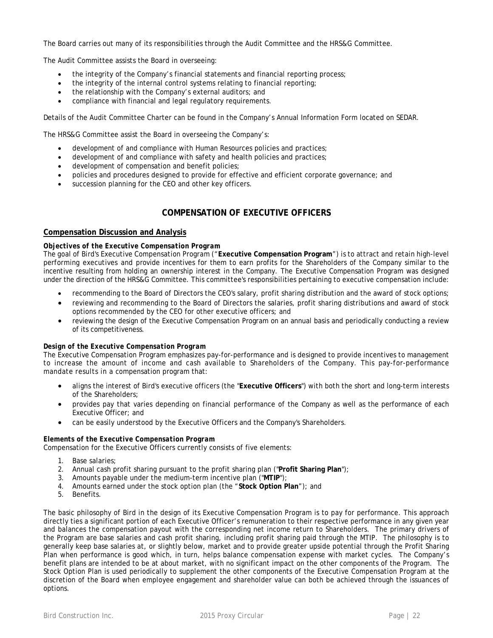The Board carries out many of its responsibilities through the Audit Committee and the HRS&G Committee.

The Audit Committee assists the Board in overseeing:

- the integrity of the Company's financial statements and financial reporting process;
- the integrity of the internal control systems relating to financial reporting;
- the relationship with the Company's external auditors; and
- compliance with financial and legal regulatory requirements.

Details of the Audit Committee Charter can be found in the Company's Annual Information Form located on SEDAR.

The HRS&G Committee assist the Board in overseeing the Company's:

- development of and compliance with Human Resources policies and practices;
- development of and compliance with safety and health policies and practices;
- development of compensation and benefit policies;
- policies and procedures designed to provide for effective and efficient corporate governance; and
- succession planning for the CEO and other key officers.

# **COMPENSATION OF EXECUTIVE OFFICERS**

### **Compensation Discussion and Analysis**

### *Objectives of the Executive Compensation Program*

The goal of Bird's Executive Compensation Program ("**Executive Compensation Program**") is to attract and retain high-level performing executives and provide incentives for them to earn profits for the Shareholders of the Company similar to the incentive resulting from holding an ownership interest in the Company. The Executive Compensation Program was designed under the direction of the HRS&G Committee. This committee's responsibilities pertaining to executive compensation include:

- recommending to the Board of Directors the CEO's salary, profit sharing distribution and the award of stock options;
- reviewing and recommending to the Board of Directors the salaries, profit sharing distributions and award of stock options recommended by the CEO for other executive officers; and
- reviewing the design of the Executive Compensation Program on an annual basis and periodically conducting a review of its competitiveness.

### *Design of the Executive Compensation Program*

The Executive Compensation Program emphasizes pay-for-performance and is designed to provide incentives to management to increase the amount of income and cash available to Shareholders of the Company. This pay-for-performance mandate results in a compensation program that:

- aligns the interest of Bird's executive officers (the "**Executive Officers**") with both the short and long-term interests of the Shareholders;
- provides pay that varies depending on financial performance of the Company as well as the performance of each Executive Officer; and
- can be easily understood by the Executive Officers and the Company's Shareholders.

### *Elements of the Executive Compensation Program*

Compensation for the Executive Officers currently consists of five elements:

- 1. Base salaries;
- 2. Annual cash profit sharing pursuant to the profit sharing plan ("**Profit Sharing Plan**");
- 3. Amounts payable under the medium-term incentive plan ("**MTIP**");
- 4. Amounts earned under the stock option plan (the "**Stock Option Plan**"); and
- 5. Benefits.

The basic philosophy of Bird in the design of its Executive Compensation Program is to pay for performance. This approach directly ties a significant portion of each Executive Officer's remuneration to their respective performance in any given year and balances the compensation payout with the corresponding net income return to Shareholders. The primary drivers of the Program are base salaries and cash profit sharing, including profit sharing paid through the MTIP. The philosophy is to generally keep base salaries at, or slightly below, market and to provide greater upside potential through the Profit Sharing Plan when performance is good which, in turn, helps balance compensation expense with market cycles. The Company's benefit plans are intended to be at about market, with no significant impact on the other components of the Program. The Stock Option Plan is used periodically to supplement the other components of the Executive Compensation Program at the discretion of the Board when employee engagement and shareholder value can both be achieved through the issuances of options.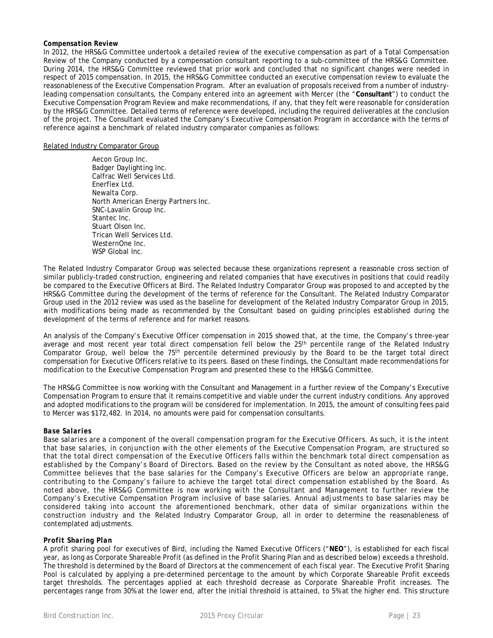#### *Compensation Review*

In 2012, the HRS&G Committee undertook a detailed review of the executive compensation as part of a Total Compensation Review of the Company conducted by a compensation consultant reporting to a sub-committee of the HRS&G Committee. During 2014, the HRS&G Committee reviewed that prior work and concluded that no significant changes were needed in respect of 2015 compensation. In 2015, the HRS&G Committee conducted an executive compensation review to evaluate the reasonableness of the Executive Compensation Program. After an evaluation of proposals received from a number of industryleading compensation consultants, the Company entered into an agreement with Mercer (the "**Consultant**") to conduct the Executive Compensation Program Review and make recommendations, if any, that they felt were reasonable for consideration by the HRS&G Committee. Detailed terms of reference were developed, including the required deliverables at the conclusion of the project. The Consultant evaluated the Company's Executive Compensation Program in accordance with the terms of reference against a benchmark of related industry comparator companies as follows:

#### Related Industry Comparator Group

Aecon Group Inc. Badger Daylighting Inc. Calfrac Well Services Ltd. Enerflex Ltd. Newalta Corp. North American Energy Partners Inc. SNC-Lavalin Group Inc. Stantec Inc. Stuart Olson Inc. Trican Well Services Ltd. WesternOne Inc. WSP Global Inc.

The Related Industry Comparator Group was selected because these organizations represent a reasonable cross section of similar publicly-traded construction, engineering and related companies that have executives in positions that could readily be compared to the Executive Officers at Bird. The Related Industry Comparator Group was proposed to and accepted by the HRS&G Committee during the development of the terms of reference for the Consultant. The Related Industry Comparator Group used in the 2012 review was used as the baseline for development of the Related Industry Comparator Group in 2015, with modifications being made as recommended by the Consultant based on guiding principles established during the development of the terms of reference and for market reasons.

An analysis of the Company's Executive Officer compensation in 2015 showed that, at the time, the Company's three-year average and most recent year total direct compensation fell below the 25<sup>th</sup> percentile range of the Related Industry Comparator Group, well below the 75th percentile determined previously by the Board to be the target total direct compensation for Executive Officers relative to its peers. Based on these findings, the Consultant made recommendations for modification to the Executive Compensation Program and presented these to the HRS&G Committee.

The HRS&G Committee is now working with the Consultant and Management in a further review of the Company's Executive Compensation Program to ensure that it remains competitive and viable under the current industry conditions. Any approved and adopted modifications to the program will be considered for implementation. In 2015, the amount of consulting fees paid to Mercer was \$172,482. In 2014, no amounts were paid for compensation consultants.

### *Base Salaries*

Base salaries are a component of the overall compensation program for the Executive Officers. As such, it is the intent that base salaries, in conjunction with the other elements of the Executive Compensation Program, are structured so that the total direct compensation of the Executive Officers falls within the benchmark total direct compensation as established by the Company's Board of Directors. Based on the review by the Consultant as noted above, the HRS&G Committee believes that the base salaries for the Company's Executive Officers are below an appropriate range, contributing to the Company's failure to achieve the target total direct compensation established by the Board. As noted above, the HRS&G Committee is now working with the Consultant and Management to further review the Company's Executive Compensation Program inclusive of base salaries. Annual adjustments to base salaries may be considered taking into account the aforementioned benchmark, other data of similar organizations within the construction industry and the Related Industry Comparator Group, all in order to determine the reasonableness of contemplated adjustments.

### *Profit Sharing Plan*

A profit sharing pool for executives of Bird, including the Named Executive Officers ("**NEO**"), is established for each fiscal year, as long as Corporate Shareable Profit (as defined in the Profit Sharing Plan and as described below) exceeds a threshold. The threshold is determined by the Board of Directors at the commencement of each fiscal year. The Executive Profit Sharing Pool is calculated by applying a pre-determined percentage to the amount by which Corporate Shareable Profit exceeds target thresholds. The percentages applied at each threshold decrease as Corporate Shareable Profit increases. The percentages range from 30% at the lower end, after the initial threshold is attained, to 5% at the higher end. This structure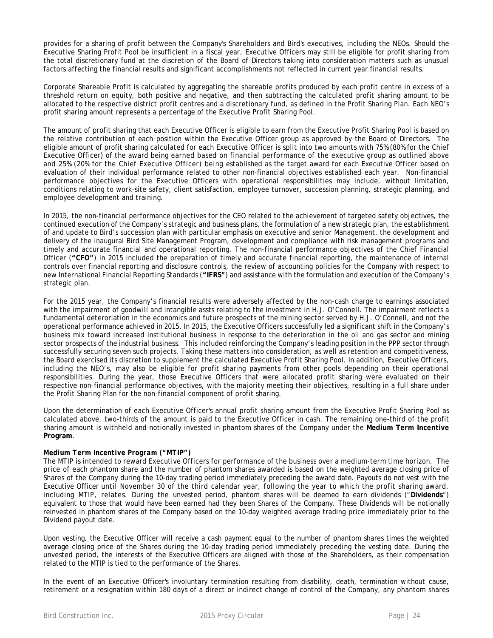provides for a sharing of profit between the Company's Shareholders and Bird's executives, including the NEOs. Should the Executive Sharing Profit Pool be insufficient in a fiscal year, Executive Officers may still be eligible for profit sharing from the total discretionary fund at the discretion of the Board of Directors taking into consideration matters such as unusual factors affecting the financial results and significant accomplishments not reflected in current year financial results.

Corporate Shareable Profit is calculated by aggregating the shareable profits produced by each profit centre in excess of a threshold return on equity, both positive and negative, and then subtracting the calculated profit sharing amount to be allocated to the respective district profit centres and a discretionary fund, as defined in the Profit Sharing Plan. Each NEO's profit sharing amount represents a percentage of the Executive Profit Sharing Pool.

The amount of profit sharing that each Executive Officer is eligible to earn from the Executive Profit Sharing Pool is based on the relative contribution of each position within the Executive Officer group as approved by the Board of Directors. The eligible amount of profit sharing calculated for each Executive Officer is split into two amounts with 75% (80% for the Chief Executive Officer) of the award being earned based on financial performance of the executive group as outlined above and 25% (20% for the Chief Executive Officer) being established as the target award for each Executive Officer based on evaluation of their individual performance related to other non-financial objectives established each year. Non-financial performance objectives for the Executive Officers with operational responsibilities may include, without limitation, conditions relating to work-site safety, client satisfaction, employee turnover, succession planning, strategic planning, and employee development and training.

In 2015, the non-financial performance objectives for the CEO related to the achievement of targeted safety objectives, the continued execution of the Company's strategic and business plans, the formulation of a new strategic plan, the establishment of and update to Bird's succession plan with particular emphasis on executive and senior Management, the development and delivery of the inaugural Bird Site Management Program, development and compliance with risk management programs and timely and accurate financial and operational reporting. The non-financial performance objectives of the Chief Financial Officer (**"CFO"**) in 2015 included the preparation of timely and accurate financial reporting, the maintenance of internal controls over financial reporting and disclosure controls, the review of accounting policies for the Company with respect to new International Financial Reporting Standards (**"IFRS"**) and assistance with the formulation and execution of the Company's strategic plan.

For the 2015 year, the Company's financial results were adversely affected by the non-cash charge to earnings associated with the impairment of goodwill and intangible assts relating to the investment in H.J. O'Connell. The impairment reflects a fundamental deteroriation in the economics and future prospects of the mining sector served by H.J. O'Connell, and not the operational performance achieved in 2015. In 2015, the Executive Officers successfully led a significant shift in the Company's business mix toward increased institutional business in response to the deterioration in the oil and gas sector and mining sector prospects of the industrial business. This included reinforcing the Company's leading position in the PPP sector through successfully securing seven such projects. Taking these matters into consideration, as well as retention and competitiveness, the Board exercised its discretion to supplement the calculated Executive Profit Sharing Pool. In addition, Executive Officers, including the NEO's, may also be eligible for profit sharing payments from other pools depending on their operational responsibilities. During the year, those Executive Officers that were allocated profit sharing were evaluated on their respective non-financial performance objectives, with the majority meeting their objectives, resulting in a full share under the Profit Sharing Plan for the non-financial component of profit sharing.

Upon the determination of each Executive Officer's annual profit sharing amount from the Executive Profit Sharing Pool as calculated above, two-thirds of the amount is paid to the Executive Officer in cash. The remaining one-third of the profit sharing amount is withheld and notionally invested in phantom shares of the Company under the **Medium Term Incentive Program**.

### *Medium Term Incentive Program ("MTIP")*

The MTIP is intended to reward Executive Officers for performance of the business over a medium-term time horizon. The price of each phantom share and the number of phantom shares awarded is based on the weighted average closing price of Shares of the Company during the 10-day trading period immediately preceding the award date. Payouts do not vest with the Executive Officer until November 30 of the third calendar year, following the year to which the profit sharing award, including MTIP, relates. During the unvested period, phantom shares will be deemed to earn dividends ("**Dividends**") equivalent to those that would have been earned had they been Shares of the Company. These Dividends will be notionally reinvested in phantom shares of the Company based on the 10-day weighted average trading price immediately prior to the Dividend payout date.

Upon vesting, the Executive Officer will receive a cash payment equal to the number of phantom shares times the weighted average closing price of the Shares during the 10-day trading period immediately preceding the vesting date. During the unvested period, the interests of the Executive Officers are aligned with those of the Shareholders, as their compensation related to the MTIP is tied to the performance of the Shares.

In the event of an Executive Officer's involuntary termination resulting from disability, death, termination without cause, retirement or a resignation within 180 days of a direct or indirect change of control of the Company, any phantom shares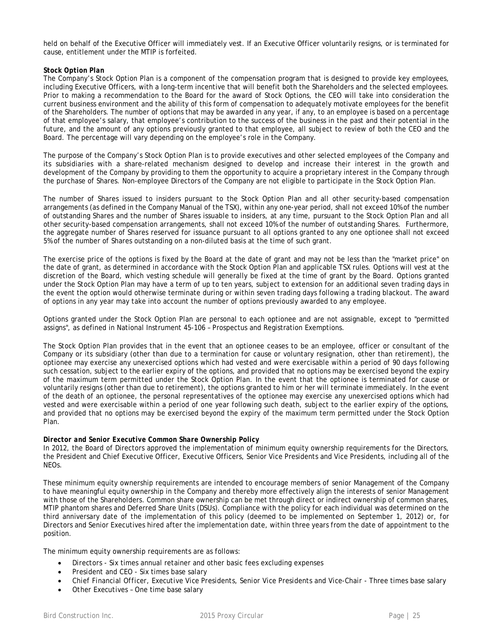held on behalf of the Executive Officer will immediately vest. If an Executive Officer voluntarily resigns, or is terminated for cause, entitlement under the MTIP is forfeited.

### *Stock Option Plan*

The Company's Stock Option Plan is a component of the compensation program that is designed to provide key employees, including Executive Officers, with a long-term incentive that will benefit both the Shareholders and the selected employees. Prior to making a recommendation to the Board for the award of Stock Options, the CEO will take into consideration the current business environment and the ability of this form of compensation to adequately motivate employees for the benefit of the Shareholders. The number of options that may be awarded in any year, if any, to an employee is based on a percentage of that employee's salary, that employee's contribution to the success of the business in the past and their potential in the future, and the amount of any options previously granted to that employee, all subject to review of both the CEO and the Board. The percentage will vary depending on the employee's role in the Company.

The purpose of the Company's Stock Option Plan is to provide executives and other selected employees of the Company and its subsidiaries with a share-related mechanism designed to develop and increase their interest in the growth and development of the Company by providing to them the opportunity to acquire a proprietary interest in the Company through the purchase of Shares. Non-employee Directors of the Company are not eligible to participate in the Stock Option Plan.

The number of Shares issued to insiders pursuant to the Stock Option Plan and all other security-based compensation arrangements (as defined in the Company Manual of the TSX), within any one-year period, shall not exceed 10% of the number of outstanding Shares and the number of Shares issuable to insiders, at any time, pursuant to the Stock Option Plan and all other security-based compensation arrangements, shall not exceed 10% of the number of outstanding Shares. Furthermore, the aggregate number of Shares reserved for issuance pursuant to all options granted to any one optionee shall not exceed 5% of the number of Shares outstanding on a non-diluted basis at the time of such grant.

The exercise price of the options is fixed by the Board at the date of grant and may not be less than the "market price" on the date of grant, as determined in accordance with the Stock Option Plan and applicable TSX rules. Options will vest at the discretion of the Board, which vesting schedule will generally be fixed at the time of grant by the Board. Options granted under the Stock Option Plan may have a term of up to ten years, subject to extension for an additional seven trading days in the event the option would otherwise terminate during or within seven trading days following a trading blackout. The award of options in any year may take into account the number of options previously awarded to any employee.

Options granted under the Stock Option Plan are personal to each optionee and are not assignable, except to "permitted assigns", as defined in National Instrument 45-106 – Prospectus and Registration Exemptions.

The Stock Option Plan provides that in the event that an optionee ceases to be an employee, officer or consultant of the Company or its subsidiary (other than due to a termination for cause or voluntary resignation, other than retirement), the optionee may exercise any unexercised options which had vested and were exercisable within a period of 90 days following such cessation, subject to the earlier expiry of the options, and provided that no options may be exercised beyond the expiry of the maximum term permitted under the Stock Option Plan. In the event that the optionee is terminated for cause or voluntarily resigns (other than due to retirement), the options granted to him or her will terminate immediately. In the event of the death of an optionee, the personal representatives of the optionee may exercise any unexercised options which had vested and were exercisable within a period of one year following such death, subject to the earlier expiry of the options, and provided that no options may be exercised beyond the expiry of the maximum term permitted under the Stock Option Plan.

### *Director and Senior Executive Common Share Ownership Policy*

In 2012, the Board of Directors approved the implementation of minimum equity ownership requirements for the Directors, the President and Chief Executive Officer, Executive Officers, Senior Vice Presidents and Vice Presidents, including all of the NEOs.

These minimum equity ownership requirements are intended to encourage members of senior Management of the Company to have meaningful equity ownership in the Company and thereby more effectively align the interests of senior Management with those of the Shareholders. Common share ownership can be met through direct or indirect ownership of common shares, MTIP phantom shares and Deferred Share Units (DSUs). Compliance with the policy for each individual was determined on the third anniversary date of the implementation of this policy (deemed to be implemented on September 1, 2012) or, for Directors and Senior Executives hired after the implementation date, within three years from the date of appointment to the position.

The minimum equity ownership requirements are as follows:

- *Directors -* Six times annual retainer and other basic fees excluding expenses
- *President and CEO -* Six times base salary
- *Chief Financial Officer, Executive Vice Presidents, Senior Vice Presidents and Vice-Chair -* Three times base salary
- *Other Executives –* One time base salary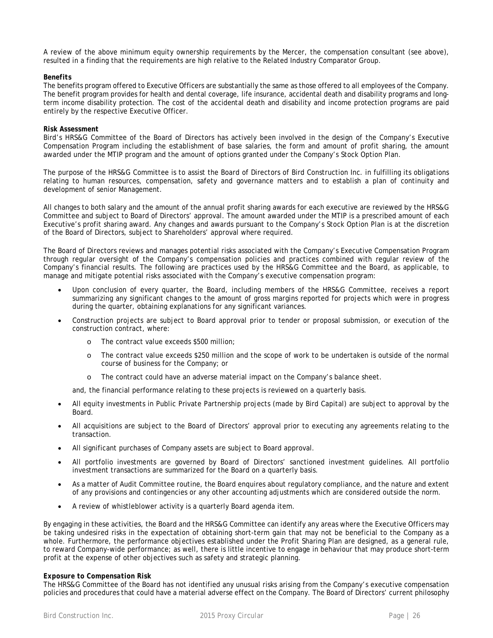A review of the above minimum equity ownership requirements by the Mercer, the compensation consultant (see above), resulted in a finding that the requirements are high relative to the Related Industry Comparator Group.

#### *Benefits*

The benefits program offered to Executive Officers are substantially the same as those offered to all employees of the Company. The benefit program provides for health and dental coverage, life insurance, accidental death and disability programs and longterm income disability protection. The cost of the accidental death and disability and income protection programs are paid entirely by the respective Executive Officer.

#### *Risk Assessment*

Bird's HRS&G Committee of the Board of Directors has actively been involved in the design of the Company's Executive Compensation Program including the establishment of base salaries, the form and amount of profit sharing, the amount awarded under the MTIP program and the amount of options granted under the Company's Stock Option Plan.

The purpose of the HRS&G Committee is to assist the Board of Directors of Bird Construction Inc. in fulfilling its obligations relating to human resources, compensation, safety and governance matters and to establish a plan of continuity and development of senior Management.

All changes to both salary and the amount of the annual profit sharing awards for each executive are reviewed by the HRS&G Committee and subject to Board of Directors' approval. The amount awarded under the MTIP is a prescribed amount of each Executive's profit sharing award. Any changes and awards pursuant to the Company's Stock Option Plan is at the discretion of the Board of Directors, subject to Shareholders' approval where required.

The Board of Directors reviews and manages potential risks associated with the Company's Executive Compensation Program through regular oversight of the Company's compensation policies and practices combined with regular review of the Company's financial results. The following are practices used by the HRS&G Committee and the Board, as applicable, to manage and mitigate potential risks associated with the Company's executive compensation program:

- Upon conclusion of every quarter, the Board, including members of the HRS&G Committee, receives a report summarizing any significant changes to the amount of gross margins reported for projects which were in progress during the quarter, obtaining explanations for any significant variances.
- Construction projects are subject to Board approval prior to tender or proposal submission, or execution of the construction contract, where:
	- o The contract value exceeds \$500 million;
	- o The contract value exceeds \$250 million and the scope of work to be undertaken is outside of the normal course of business for the Company; or
	- o The contract could have an adverse material impact on the Company's balance sheet.

and, the financial performance relating to these projects is reviewed on a quarterly basis.

- All equity investments in Public Private Partnership projects (made by Bird Capital) are subject to approval by the Board.
- All acquisitions are subject to the Board of Directors' approval prior to executing any agreements relating to the transaction.
- All significant purchases of Company assets are subject to Board approval.
- All portfolio investments are governed by Board of Directors' sanctioned investment guidelines. All portfolio investment transactions are summarized for the Board on a quarterly basis.
- As a matter of Audit Committee routine, the Board enquires about regulatory compliance, and the nature and extent of any provisions and contingencies or any other accounting adjustments which are considered outside the norm.
- A review of whistleblower activity is a quarterly Board agenda item.

By engaging in these activities, the Board and the HRS&G Committee can identify any areas where the Executive Officers may be taking undesired risks in the expectation of obtaining short-term gain that may not be beneficial to the Company as a whole. Furthermore, the performance objectives established under the Profit Sharing Plan are designed, as a general rule, to reward Company-wide performance; as well, there is little incentive to engage in behaviour that may produce short-term profit at the expense of other objectives such as safety and strategic planning.

#### *Exposure to Compensation Risk*

The HRS&G Committee of the Board has not identified any unusual risks arising from the Company's executive compensation policies and procedures that could have a material adverse effect on the Company. The Board of Directors' current philosophy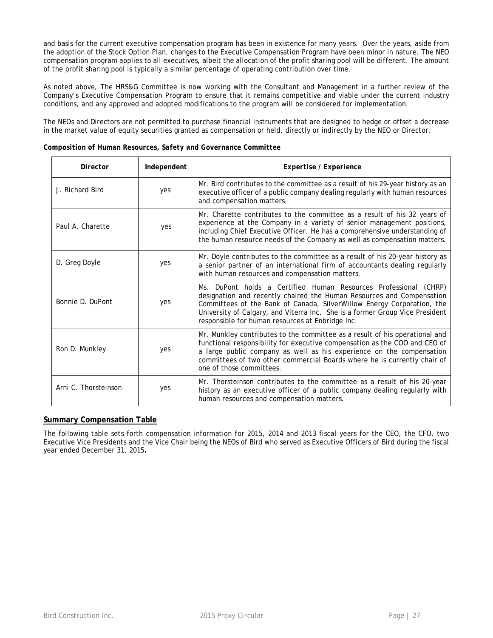and basis for the current executive compensation program has been in existence for many years. Over the years, aside from the adoption of the Stock Option Plan, changes to the Executive Compensation Program have been minor in nature. The NEO compensation program applies to all executives, albeit the allocation of the profit sharing pool will be different. The amount of the profit sharing pool is typically a similar percentage of operating contribution over time.

As noted above, The HRS&G Committee is now working with the Consultant and Management in a further review of the Company's Executive Compensation Program to ensure that it remains competitive and viable under the current industry conditions, and any approved and adopted modifications to the program will be considered for implementation.

The NEOs and Directors are not permitted to purchase financial instruments that are designed to hedge or offset a decrease in the market value of equity securities granted as compensation or held, directly or indirectly by the NEO or Director.

| Director             | Independent | Expertise / Experience                                                                                                                                                                                                                                                                                                                                  |
|----------------------|-------------|---------------------------------------------------------------------------------------------------------------------------------------------------------------------------------------------------------------------------------------------------------------------------------------------------------------------------------------------------------|
| J. Richard Bird      | yes         | Mr. Bird contributes to the committee as a result of his 29-year history as an<br>executive officer of a public company dealing regularly with human resources<br>and compensation matters.                                                                                                                                                             |
| Paul A. Charette     | yes         | Mr. Charette contributes to the committee as a result of his 32 years of<br>experience at the Company in a variety of senior management positions,<br>including Chief Executive Officer. He has a comprehensive understanding of<br>the human resource needs of the Company as well as compensation matters.                                            |
| D. Greg Doyle        | yes         | Mr. Doyle contributes to the committee as a result of his 20-year history as<br>a senior partner of an international firm of accountants dealing regularly<br>with human resources and compensation matters.                                                                                                                                            |
| Bonnie D. DuPont     | yes         | Ms. DuPont holds a Certified Human Resources Professional (CHRP)<br>designation and recently chaired the Human Resources and Compensation<br>Committees of the Bank of Canada, SilverWillow Energy Corporation, the<br>University of Calgary, and Viterra Inc. She is a former Group Vice President<br>responsible for human resources at Enbridge Inc. |
| Ron D. Munkley       | yes         | Mr. Munkley contributes to the committee as a result of his operational and<br>functional responsibility for executive compensation as the COO and CEO of<br>a large public company as well as his experience on the compensation<br>committees of two other commercial Boards where he is currently chair of<br>one of those committees.               |
| Arni C. Thorsteinson | yes         | Mr. Thorsteinson contributes to the committee as a result of his 20-year<br>history as an executive officer of a public company dealing regularly with<br>human resources and compensation matters.                                                                                                                                                     |

### *Composition of Human Resources, Safety and Governance Committee*

# **Summary Compensation Table**

The following table sets forth compensation information for 2015, 2014 and 2013 fiscal years for the CEO, the CFO, two Executive Vice Presidents and the Vice Chair being the NEOs of Bird who served as Executive Officers of Bird during the fiscal year ended December 31, 2015**.**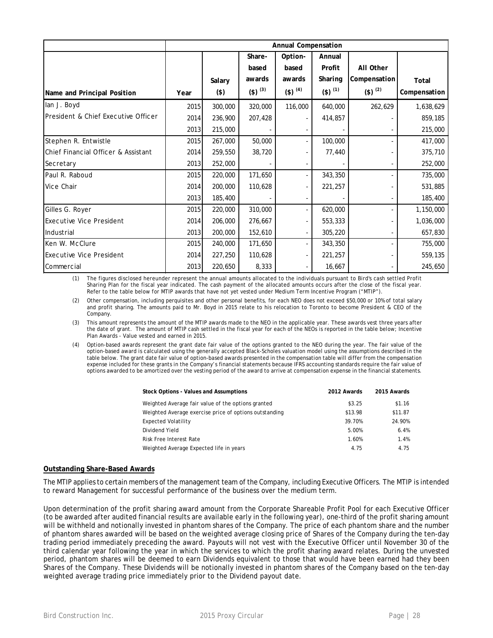|                                     | Annual Compensation |         |                  |                  |             |                          |              |
|-------------------------------------|---------------------|---------|------------------|------------------|-------------|--------------------------|--------------|
|                                     |                     |         | Share-           | Option-          | Annual      |                          |              |
|                                     |                     |         | based            | based            | Profit      | All Other                |              |
|                                     |                     | Salary  | awards           | awards           | Sharing     | Compensation             | Total        |
| Name and Principal Position         | Year                | $($ \$) | $($ \$) $^{(3)}$ | $($ \$) $^{(4)}$ | $(5)^{(1)}$ | $($ \$) $^{(2)}$         | Compensation |
| lan J. Boyd                         | 2015                | 300,000 | 320,000          | 116,000          | 640,000     | 262,629                  | 1,638,629    |
| President & Chief Executive Officer | 2014                | 236,900 | 207,428          |                  | 414,857     |                          | 859,185      |
|                                     | 2013                | 215,000 |                  |                  |             |                          | 215,000      |
| Stephen R. Entwistle                | 2015                | 267,000 | 50,000           |                  | 100,000     |                          | 417,000      |
| Chief Financial Officer & Assistant | 2014                | 259,550 | 38,720           |                  | 77,440      |                          | 375,710      |
| Secretary                           | 2013                | 252,000 |                  |                  |             |                          | 252,000      |
| Paul R. Raboud                      | 2015                | 220,000 | 171,650          |                  | 343,350     |                          | 735,000      |
| Vice Chair                          | 2014                | 200,000 | 110,628          |                  | 221,257     |                          | 531,885      |
|                                     | 2013                | 185,400 |                  |                  |             |                          | 185,400      |
| Gilles G. Royer                     | 2015                | 220,000 | 310,000          |                  | 620,000     | $\overline{\phantom{a}}$ | 1,150,000    |
| <b>Executive Vice President</b>     | 2014                | 206,000 | 276,667          |                  | 553,333     |                          | 1,036,000    |
| Industrial                          | 2013                | 200,000 | 152,610          |                  | 305,220     |                          | 657,830      |
| Ken W. McClure                      | 2015                | 240,000 | 171,650          |                  | 343,350     |                          | 755,000      |
| <b>Executive Vice President</b>     | 2014                | 227,250 | 110,628          |                  | 221,257     |                          | 559,135      |
| Commercial                          | 2013                | 220,650 | 8,333            |                  | 16,667      |                          | 245,650      |

(1) The figures disclosed hereunder represent the annual amounts allocated to the individuals pursuant to Bird's cash settled Profit Sharing Plan for the fiscal year indicated. The cash payment of the allocated amounts occurs after the close of the fiscal year. Refer to the table below for MTIP awards that have not yet vested under Medium Term Incentive Program ("MTIP").

(2) Other compensation, including perquisites and other personal benefits, for each NEO does not exceed \$50,000 or 10% of total salary and profit sharing. The amounts paid to Mr. Boyd in 2015 relate to his relocation to Toronto to become President & CEO of the Company.

(3) This amount represents the amount of the MTIP awards made to the NEO in the applicable year. These awards vest three years after the date of grant. The amount of MTIP cash settled in the fiscal year for each of the NEOs is reported in the table below; Incentive Plan Awards - Value vested and earned in 2015.

(4) Option-based awards represent the grant date fair value of the options granted to the NEO during the year. The fair value of the option-based award is calculated using the generally accepted Black-Scholes valuation model using the assumptions described in the table below. The grant date fair value of option-based awards presented in the compensation table will differ from the compensation expense included for these grants in the Company's financial statements because IFRS accounting standards require the fair value of options awarded to be amortized over the vesting period of the award to arrive at compensation expense in the financial statements.

| Stock Options - Values and Assumptions                 | 2012 Awards | 2015 Awards |
|--------------------------------------------------------|-------------|-------------|
| Weighted Average fair value of the options granted     | \$3.25      | \$1.16      |
| Weighted Average exercise price of options outstanding | \$13.98     | \$11.87     |
| <b>Expected Volatility</b>                             | 39.70%      | 24.90%      |
| Dividend Yield                                         | 5.00%       | 6.4%        |
| <b>Risk Free Interest Rate</b>                         | 1.60%       | 1.4%        |
| Weighted Average Expected life in years                | 4.75        | 4.75        |

### **Outstanding Share-Based Awards**

The MTIP applies to certain members of the management team of the Company, including Executive Officers. The MTIP is intended to reward Management for successful performance of the business over the medium term.

Upon determination of the profit sharing award amount from the Corporate Shareable Profit Pool for each Executive Officer (to be awarded after audited financial results are available early in the following year), one-third of the profit sharing amount will be withheld and notionally invested in phantom shares of the Company. The price of each phantom share and the number of phantom shares awarded will be based on the weighted average closing price of Shares of the Company during the ten-day trading period immediately preceding the award. Payouts will not vest with the Executive Officer until November 30 of the third calendar year following the year in which the services to which the profit sharing award relates. During the unvested period, phantom shares will be deemed to earn Dividends equivalent to those that would have been earned had they been Shares of the Company. These Dividends will be notionally invested in phantom shares of the Company based on the ten-day weighted average trading price immediately prior to the Dividend payout date.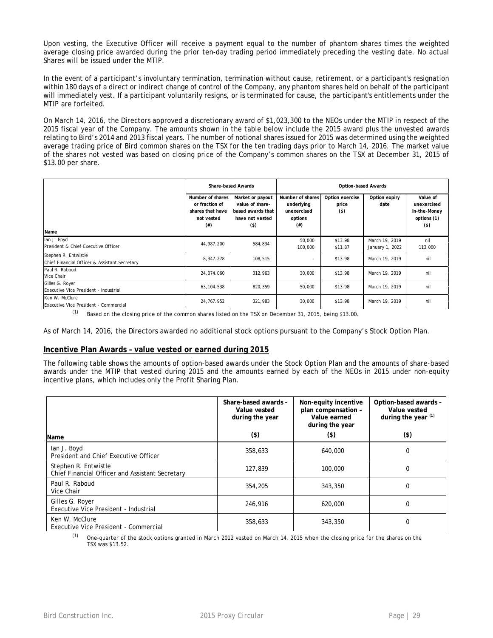Upon vesting, the Executive Officer will receive a payment equal to the number of phantom shares times the weighted average closing price awarded during the prior ten-day trading period immediately preceding the vesting date. No actual Shares will be issued under the MTIP.

In the event of a participant's involuntary termination, termination without cause, retirement, or a participant's resignation within 180 days of a direct or indirect change of control of the Company, any phantom shares held on behalf of the participant will immediately vest. If a participant voluntarily resigns, or is terminated for cause, the participant's entitlements under the MTIP are forfeited.

On March 14, 2016, the Directors approved a discretionary award of \$1,023,300 to the NEOs under the MTIP in respect of the 2015 fiscal year of the Company. The amounts shown in the table below include the 2015 award plus the unvested awards relating to Bird's 2014 and 2013 fiscal years. The number of notional shares issued for 2015 was determined using the weighted average trading price of Bird common shares on the TSX for the ten trading days prior to March 14, 2016. The market value of the shares not vested was based on closing price of the Company's common shares on the TSX at December 31, 2015 of \$13.00 per share.

|                                                                       |                                                                                  | <b>Share-based Awards</b>                                                              | <b>Option-based Awards</b>                                           |                                     |                                   |                                                                   |
|-----------------------------------------------------------------------|----------------------------------------------------------------------------------|----------------------------------------------------------------------------------------|----------------------------------------------------------------------|-------------------------------------|-----------------------------------|-------------------------------------------------------------------|
| Name                                                                  | Number of shares<br>or fraction of<br>shares that have<br>not vested<br>$^{(#)}$ | Market or payout<br>value of share-<br>based awards that<br>have not vested<br>$($ \$) | Number of shares<br>underlying<br>unexercised<br>options<br>$^{(#)}$ | Option exercise<br>price<br>$($ \$) | Option expiry<br>date             | Value of<br>unexercised<br>In-the-Money<br>options (1)<br>$($ \$) |
| lan J. Boyd<br>President & Chief Executive Officer                    | 44,987.200                                                                       | 584,834                                                                                | 50,000<br>100,000                                                    | \$13.98<br>\$11.87                  | March 19, 2019<br>January 1, 2022 | nil<br>113,000                                                    |
| Stephen R. Entwistle<br>Chief Financial Officer & Assistant Secretary | 8,347.278                                                                        | 108,515                                                                                |                                                                      | \$13.98                             | March 19, 2019                    | nil                                                               |
| Paul R. Raboud<br>Vice Chair                                          | 24,074.060                                                                       | 312,963                                                                                | 30,000                                                               | \$13.98                             | March 19, 2019                    | nil                                                               |
| Gilles G. Royer<br>Executive Vice President - Industrial              | 63, 104.538                                                                      | 820,359                                                                                | 50,000                                                               | \$13.98                             | March 19, 2019                    | nil                                                               |
| Ken W. McClure<br><b>Executive Vice President - Commercial</b>        | 24,767.952                                                                       | 321,983                                                                                | 30,000                                                               | \$13.98                             | March 19, 2019                    | nil                                                               |

 $(1)$  Based on the closing price of the common shares listed on the TSX on December 31, 2015, being \$13.00.

As of March 14, 2016, the Directors awarded no additional stock options pursuant to the Company's Stock Option Plan.

### **Incentive Plan Awards – value vested or earned during 2015**

The following table shows the amounts of option-based awards under the Stock Option Plan and the amounts of share-based awards under the MTIP that vested during 2015 and the amounts earned by each of the NEOs in 2015 under non-equity incentive plans, which includes only the Profit Sharing Plan.

| Name                                                                    | Share-based awards -<br>Value vested<br>during the year<br>$($ \$) | Non-equity incentive<br>plan compensation -<br>Value earned<br>during the year<br>$($ \$) | Option-based awards -<br>Value vested<br>during the year (1)<br>$($ \$) |
|-------------------------------------------------------------------------|--------------------------------------------------------------------|-------------------------------------------------------------------------------------------|-------------------------------------------------------------------------|
|                                                                         |                                                                    |                                                                                           |                                                                         |
| lan J. Boyd<br>President and Chief Executive Officer                    | 358,633                                                            | 640,000                                                                                   | 0                                                                       |
| Stephen R. Entwistle<br>Chief Financial Officer and Assistant Secretary | 127,839                                                            | 100,000                                                                                   | 0                                                                       |
| Paul R. Raboud<br>Vice Chair                                            | 354,205                                                            | 343,350                                                                                   | 0                                                                       |
| Gilles G. Royer<br>Executive Vice President - Industrial                | 246.916                                                            | 620,000                                                                                   | 0                                                                       |
| Ken W. McClure<br>Executive Vice President - Commercial                 | 358,633                                                            | 343,350                                                                                   | 0                                                                       |

 $<sup>(1)</sup>$  One-quarter of the stock options granted in March 2012 vested on March 14, 2015 when the closing price for the shares on the</sup> TSX was \$13.52.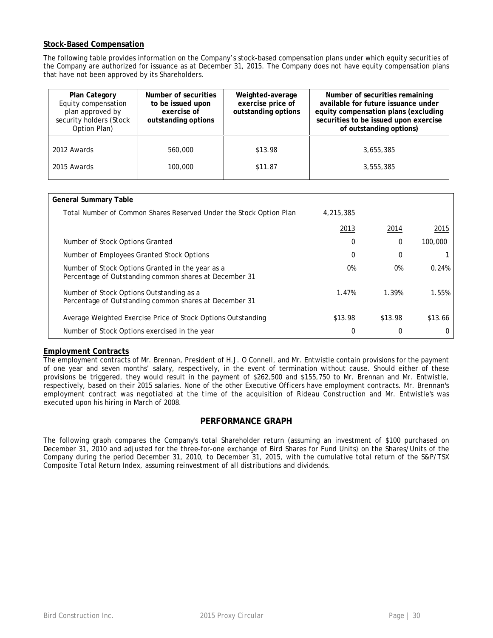# **Stock-Based Compensation**

The following table provides information on the Company's stock-based compensation plans under which equity securities of the Company are authorized for issuance as at December 31, 2015. The Company does not have equity compensation plans that have not been approved by its Shareholders.

| <b>Plan Category</b><br>Equity compensation<br>plan approved by<br>security holders (Stock<br>Option Plan) | Number of securities<br>to be issued upon<br>exercise of<br>outstanding options | Weighted-average<br>exercise price of<br>outstanding options | Number of securities remaining<br>available for future issuance under<br>equity compensation plans (excluding<br>securities to be issued upon exercise<br>of outstanding options) |
|------------------------------------------------------------------------------------------------------------|---------------------------------------------------------------------------------|--------------------------------------------------------------|-----------------------------------------------------------------------------------------------------------------------------------------------------------------------------------|
| 2012 Awards                                                                                                | 560,000                                                                         | \$13.98                                                      | 3,655,385                                                                                                                                                                         |
| 2015 Awards                                                                                                | 100,000                                                                         | \$11.87                                                      | 3,555,385                                                                                                                                                                         |

| <b>General Summary Table</b>                                                                               |           |         |         |
|------------------------------------------------------------------------------------------------------------|-----------|---------|---------|
| Total Number of Common Shares Reserved Under the Stock Option Plan                                         | 4,215,385 |         |         |
|                                                                                                            | 2013      | 2014    | 2015    |
| Number of Stock Options Granted                                                                            | 0         | 0       | 100,000 |
| Number of Employees Granted Stock Options                                                                  | 0         | 0       |         |
| Number of Stock Options Granted in the year as a<br>Percentage of Outstanding common shares at December 31 | 0%        | 0%      | 0.24%   |
| Number of Stock Options Outstanding as a<br>Percentage of Outstanding common shares at December 31         | 1.47%     | 1.39%   | 1.55%   |
| Average Weighted Exercise Price of Stock Options Outstanding                                               | \$13.98   | \$13.98 | \$13.66 |
| Number of Stock Options exercised in the year                                                              | 0         |         | 0       |

# **Employment Contracts**

The employment contracts of Mr. Brennan, President of H.J. O Connell, and Mr. Entwistle contain provisions for the payment of one year and seven months' salary, respectively, in the event of termination without cause. Should either of these provisions be triggered, they would result in the payment of \$262,500 and \$155,750 to Mr. Brennan and Mr. Entwistle, respectively, based on their 2015 salaries. None of the other Executive Officers have employment contracts. Mr. Brennan's employment contract was negotiated at the time of the acquisition of Rideau Construction and Mr. Entwistle's was executed upon his hiring in March of 2008.

# **PERFORMANCE GRAPH**

The following graph compares the Company's total Shareholder return (assuming an investment of \$100 purchased on December 31, 2010 and adjusted for the three-for-one exchange of Bird Shares for Fund Units) on the Shares/Units of the Company during the period December 31, 2010, to December 31, 2015, with the cumulative total return of the S&P/TSX Composite Total Return Index, assuming reinvestment of all distributions and dividends.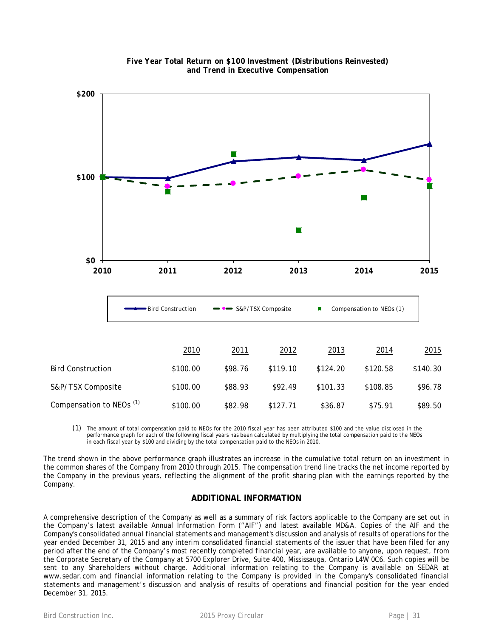

**Five Year Total Return on \$100 Investment (Distributions Reinvested) and Trend in Executive Compensation**

(1) The amount of total compensation paid to NEOs for the 2010 fiscal year has been attributed \$100 and the value disclosed in the performance graph for each of the following fiscal years has been calculated by multiplying the total compensation paid to the NEOs in each fiscal year by \$100 and dividing by the total compensation paid to the NEOs in 2010.

The trend shown in the above performance graph illustrates an increase in the cumulative total return on an investment in the common shares of the Company from 2010 through 2015. The compensation trend line tracks the net income reported by the Company in the previous years, reflecting the alignment of the profit sharing plan with the earnings reported by the Company.

# **ADDITIONAL INFORMATION**

A comprehensive description of the Company as well as a summary of risk factors applicable to the Company are set out in the Company's latest available Annual Information Form ("AIF") and latest available MD&A. Copies of the AIF and the Company's consolidated annual financial statements and management's discussion and analysis of results of operations for the year ended December 31, 2015 and any interim consolidated financial statements of the issuer that have been filed for any period after the end of the Company's most recently completed financial year, are available to anyone, upon request, from the Corporate Secretary of the Company at 5700 Explorer Drive, Suite 400, Mississauga, Ontario L4W 0C6. Such copies will be sent to any Shareholders without charge. Additional information relating to the Company is available on SEDAR at www.sedar.com and financial information relating to the Company is provided in the Company's consolidated financial statements and management's discussion and analysis of results of operations and financial position for the year ended December 31, 2015.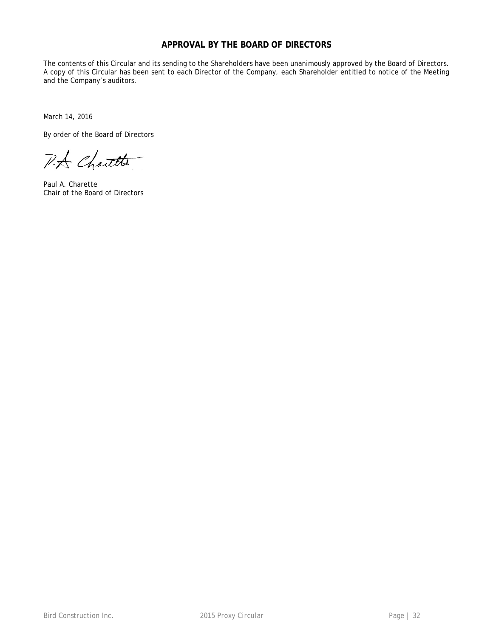# **APPROVAL BY THE BOARD OF DIRECTORS**

The contents of this Circular and its sending to the Shareholders have been unanimously approved by the Board of Directors. A copy of this Circular has been sent to each Director of the Company, each Shareholder entitled to notice of the Meeting and the Company's auditors.

March 14, 2016

By order of the Board of Directors

P.A Chartte

Paul A. Charette Chair of the Board of Directors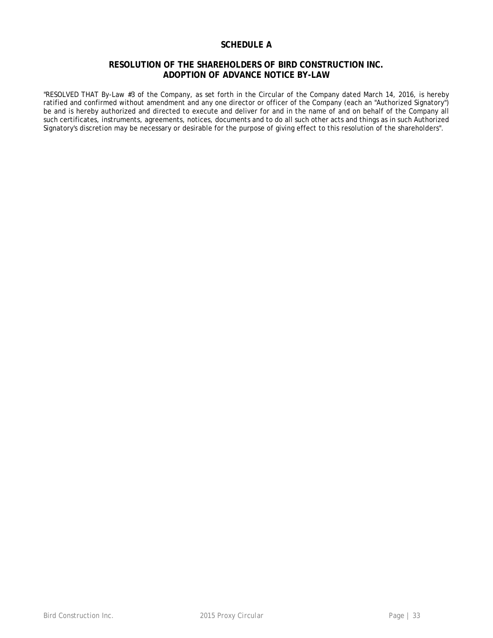# **SCHEDULE A**

# **RESOLUTION OF THE SHAREHOLDERS OF BIRD CONSTRUCTION INC. ADOPTION OF ADVANCE NOTICE BY-LAW**

"RESOLVED THAT By-Law #3 of the Company, as set forth in the Circular of the Company dated March 14, 2016, is hereby ratified and confirmed without amendment and any one director or officer of the Company (each an "Authorized Signatory") be and is hereby authorized and directed to execute and deliver for and in the name of and on behalf of the Company all such certificates, instruments, agreements, notices, documents and to do all such other acts and things as in such Authorized Signatory's discretion may be necessary or desirable for the purpose of giving effect to this resolution of the shareholders".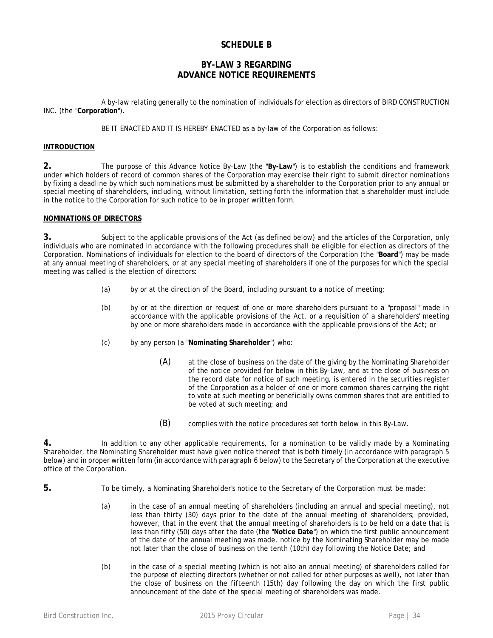# **SCHEDULE B**

# **BY-LAW 3 REGARDING ADVANCE NOTICE REQUIREMENTS**

A by-law relating generally to the nomination of individuals for election as directors of BIRD CONSTRUCTION INC. (the "**Corporation**").

BE IT ENACTED AND IT IS HEREBY ENACTED as a by-law of the Corporation as follows:

### **INTRODUCTION**

**2.** The purpose of this Advance Notice By-Law (the "**By-Law**") is to establish the conditions and framework under which holders of record of common shares of the Corporation may exercise their right to submit director nominations by fixing a deadline by which such nominations must be submitted by a shareholder to the Corporation prior to any annual or special meeting of shareholders, including, without limitation, setting forth the information that a shareholder must include in the notice to the Corporation for such notice to be in proper written form.

### **NOMINATIONS OF DIRECTORS**

**3.** Subject to the applicable provisions of the Act (as defined below) and the articles of the Corporation, only individuals who are nominated in accordance with the following procedures shall be eligible for election as directors of the Corporation. Nominations of individuals for election to the board of directors of the Corporation (the "**Board**") may be made at any annual meeting of shareholders, or at any special meeting of shareholders if one of the purposes for which the special meeting was called is the election of directors:

- (a) by or at the direction of the Board, including pursuant to a notice of meeting;
- (b) by or at the direction or request of one or more shareholders pursuant to a "proposal" made in accordance with the applicable provisions of the Act, or a requisition of a shareholders' meeting by one or more shareholders made in accordance with the applicable provisions of the Act; or
- (c) by any person (a "**Nominating Shareholder**") who:
	- (A) at the close of business on the date of the giving by the Nominating Shareholder of the notice provided for below in this By-Law, and at the close of business on the record date for notice of such meeting, is entered in the securities register of the Corporation as a holder of one or more common shares carrying the right to vote at such meeting or beneficially owns common shares that are entitled to be voted at such meeting; and
	- (B) complies with the notice procedures set forth below in this By-Law.

**4.** In addition to any other applicable requirements, for a nomination to be validly made by a Nominating Shareholder, the Nominating Shareholder must have given notice thereof that is both timely (in accordance with paragraph [5](#page-33-0) below) and in proper written form (in accordance with paragraph [6](#page-34-0) below) to the Secretary of the Corporation at the executive office of the Corporation.

- <span id="page-33-0"></span>**5.** To be timely, a Nominating Shareholder's notice to the Secretary of the Corporation must be made:
	- (a) in the case of an annual meeting of shareholders (including an annual and special meeting), not less than thirty (30) days prior to the date of the annual meeting of shareholders; provided, however, that in the event that the annual meeting of shareholders is to be held on a date that is less than fifty (50) days after the date (the "**Notice Date**") on which the first public announcement of the date of the annual meeting was made, notice by the Nominating Shareholder may be made not later than the close of business on the tenth (10th) day following the Notice Date; and
	- (b) in the case of a special meeting (which is not also an annual meeting) of shareholders called for the purpose of electing directors (whether or not called for other purposes as well), not later than the close of business on the fifteenth (15th) day following the day on which the first public announcement of the date of the special meeting of shareholders was made.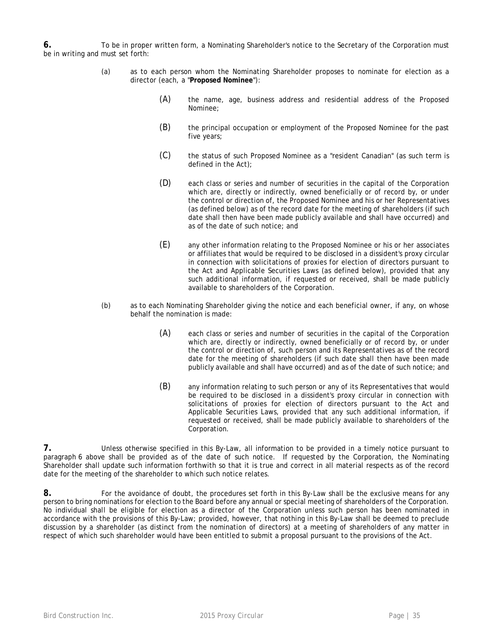<span id="page-34-0"></span>**6.** To be in proper written form, a Nominating Shareholder's notice to the Secretary of the Corporation must be in writing and must set forth:

- (a) as to each person whom the Nominating Shareholder proposes to nominate for election as a director (each, a "**Proposed Nominee**"):
	- (A) the name, age, business address and residential address of the Proposed Nominee;
	- (B) the principal occupation or employment of the Proposed Nominee for the past five years;
	- (C) the status of such Proposed Nominee as a "resident Canadian" (as such term is defined in the Act);
	- (D) each class or series and number of securities in the capital of the Corporation which are, directly or indirectly, owned beneficially or of record by, or under the control or direction of, the Proposed Nominee and his or her Representatives (as defined below) as of the record date for the meeting of shareholders (if such date shall then have been made publicly available and shall have occurred) and as of the date of such notice; and
	- (E) any other information relating to the Proposed Nominee or his or her associates or affiliates that would be required to be disclosed in a dissident's proxy circular in connection with solicitations of proxies for election of directors pursuant to the Act and Applicable Securities Laws (as defined below), provided that any such additional information, if requested or received, shall be made publicly available to shareholders of the Corporation.
- (b) as to each Nominating Shareholder giving the notice and each beneficial owner, if any, on whose behalf the nomination is made:
	- (A) each class or series and number of securities in the capital of the Corporation which are, directly or indirectly, owned beneficially or of record by, or under the control or direction of, such person and its Representatives as of the record date for the meeting of shareholders (if such date shall then have been made publicly available and shall have occurred) and as of the date of such notice; and
	- (B) any information relating to such person or any of its Representatives that would be required to be disclosed in a dissident's proxy circular in connection with solicitations of proxies for election of directors pursuant to the Act and Applicable Securities Laws, provided that any such additional information, if requested or received, shall be made publicly available to shareholders of the Corporation.

**7.** Unless otherwise specified in this By-Law, all information to be provided in a timely notice pursuant to paragraph [6](#page-34-0) above shall be provided as of the date of such notice. If requested by the Corporation, the Nominating Shareholder shall update such information forthwith so that it is true and correct in all material respects as of the record date for the meeting of the shareholder to which such notice relates.

**8.** For the avoidance of doubt, the procedures set forth in this By-Law shall be the exclusive means for any person to bring nominations for election to the Board before any annual or special meeting of shareholders of the Corporation. No individual shall be eligible for election as a director of the Corporation unless such person has been nominated in accordance with the provisions of this By-Law; provided, however, that nothing in this By-Law shall be deemed to preclude discussion by a shareholder (as distinct from the nomination of directors) at a meeting of shareholders of any matter in respect of which such shareholder would have been entitled to submit a proposal pursuant to the provisions of the Act.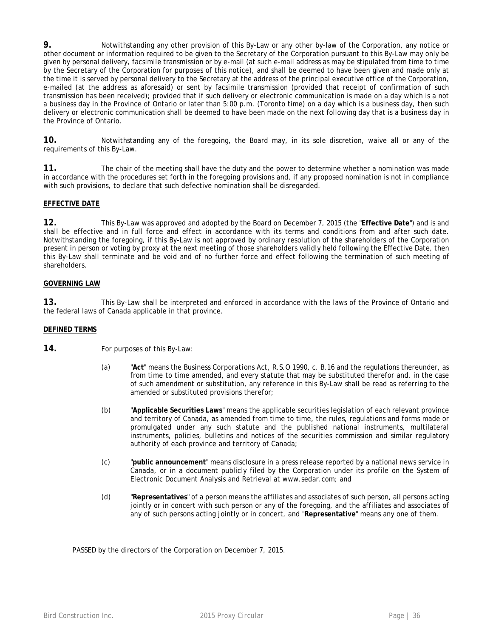**9.** Notwithstanding any other provision of this By-Law or any other by-law of the Corporation, any notice or other document or information required to be given to the Secretary of the Corporation pursuant to this By-Law may only be given by personal delivery, facsimile transmission or by e-mail (at such e-mail address as may be stipulated from time to time by the Secretary of the Corporation for purposes of this notice), and shall be deemed to have been given and made only at the time it is served by personal delivery to the Secretary at the address of the principal executive office of the Corporation, e-mailed (at the address as aforesaid) or sent by facsimile transmission (provided that receipt of confirmation of such transmission has been received); provided that if such delivery or electronic communication is made on a day which is a not a business day in the Province of Ontario or later than 5:00 p.m. (Toronto time) on a day which is a business day, then such delivery or electronic communication shall be deemed to have been made on the next following day that is a business day in the Province of Ontario.

**10.** Notwithstanding any of the foregoing, the Board may, in its sole discretion, waive all or any of the requirements of this By-Law.

**11.** The chair of the meeting shall have the duty and the power to determine whether a nomination was made in accordance with the procedures set forth in the foregoing provisions and, if any proposed nomination is not in compliance with such provisions, to declare that such defective nomination shall be disregarded.

### **EFFECTIVE DATE**

**12.** This By-Law was approved and adopted by the Board on December 7, 2015 (the "**Effective Date**") and is and shall be effective and in full force and effect in accordance with its terms and conditions from and after such date. Notwithstanding the foregoing, if this By-Law is not approved by ordinary resolution of the shareholders of the Corporation present in person or voting by proxy at the next meeting of those shareholders validly held following the Effective Date, then this By-Law shall terminate and be void and of no further force and effect following the termination of such meeting of shareholders.

### **GOVERNING LAW**

**13.** This By-Law shall be interpreted and enforced in accordance with the laws of the Province of Ontario and the federal laws of Canada applicable in that province.

### **DEFINED TERMS**

- **14.** For purposes of this By-Law:
	- (a) "**Act**" means the *Business Corporations Act*, R.S.O 1990, c. B.16 and the regulations thereunder, as from time to time amended, and every statute that may be substituted therefor and, in the case of such amendment or substitution, any reference in this By-Law shall be read as referring to the amended or substituted provisions therefor;
	- (b) "**Applicable Securities Laws**" means the applicable securities legislation of each relevant province and territory of Canada, as amended from time to time, the rules, regulations and forms made or promulgated under any such statute and the published national instruments, multilateral instruments, policies, bulletins and notices of the securities commission and similar regulatory authority of each province and territory of Canada;
	- (c) "**public announcement**" means disclosure in a press release reported by a national news service in Canada, or in a document publicly filed by the Corporation under its profile on the System of Electronic Document Analysis and Retrieval at www.sedar.com; and
	- (d) "**Representatives**" of a person means the affiliates and associates of such person, all persons acting jointly or in concert with such person or any of the foregoing, and the affiliates and associates of any of such persons acting jointly or in concert, and "**Representative**" means any one of them.

PASSED by the directors of the Corporation on December 7, 2015.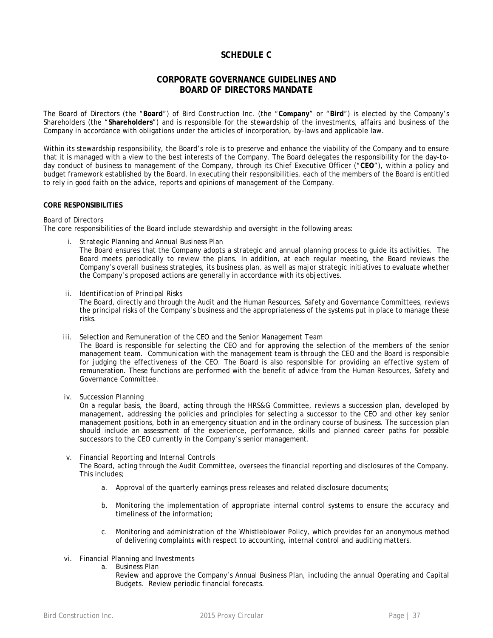# **SCHEDULE C**

# **CORPORATE GOVERNANCE GUIDELINES AND BOARD OF DIRECTORS MANDATE**

The Board of Directors (the "**Board**") of Bird Construction Inc. (the "**Company**" or "**Bird**") is elected by the Company's Shareholders (the "**Shareholders**") and is responsible for the stewardship of the investments, affairs and business of the Company in accordance with obligations under the articles of incorporation, by-laws and applicable law.

Within its stewardship responsibility, the Board's role is to preserve and enhance the viability of the Company and to ensure that it is managed with a view to the best interests of the Company. The Board delegates the responsibility for the day-today conduct of business to management of the Company, through its Chief Executive Officer ("**CEO**"), within a policy and budget framework established by the Board. In executing their responsibilities, each of the members of the Board is entitled to rely in good faith on the advice, reports and opinions of management of the Company.

### **CORE RESPONSIBILITIES**

#### *Board of Directors*

The core responsibilities of the Board include stewardship and oversight in the following areas:

*i. Strategic Planning and Annual Business Plan*

The Board ensures that the Company adopts a strategic and annual planning process to guide its activities. The Board meets periodically to review the plans. In addition, at each regular meeting, the Board reviews the Company's overall business strategies, its business plan, as well as major strategic initiatives to evaluate whether the Company's proposed actions are generally in accordance with its objectives.

*ii. Identification of Principal Risks*

The Board, directly and through the Audit and the Human Resources, Safety and Governance Committees, reviews the principal risks of the Company's business and the appropriateness of the systems put in place to manage these risks.

*iii. Selection and Remuneration of the CEO and the Senior Management Team*

The Board is responsible for selecting the CEO and for approving the selection of the members of the senior management team. Communication with the management team is through the CEO and the Board is responsible for judging the effectiveness of the CEO. The Board is also responsible for providing an effective system of remuneration. These functions are performed with the benefit of advice from the Human Resources, Safety and Governance Committee.

*iv. Succession Planning*

On a regular basis, the Board, acting through the HRS&G Committee, reviews a succession plan, developed by management, addressing the policies and principles for selecting a successor to the CEO and other key senior management positions, both in an emergency situation and in the ordinary course of business. The succession plan should include an assessment of the experience, performance, skills and planned career paths for possible successors to the CEO currently in the Company's senior management.

### *v. Financial Reporting and Internal Controls*

The Board, acting through the Audit Committee, oversees the financial reporting and disclosures of the Company. This includes;

- a. Approval of the quarterly earnings press releases and related disclosure documents;
- b. Monitoring the implementation of appropriate internal control systems to ensure the accuracy and timeliness of the information;
- c. Monitoring and administration of the Whistleblower Policy, which provides for an anonymous method of delivering complaints with respect to accounting, internal control and auditing matters.
- *vi. Financial Planning and Investments*
	- a. Business Plan
		- Review and approve the Company's Annual Business Plan, including the annual Operating and Capital Budgets. Review periodic financial forecasts.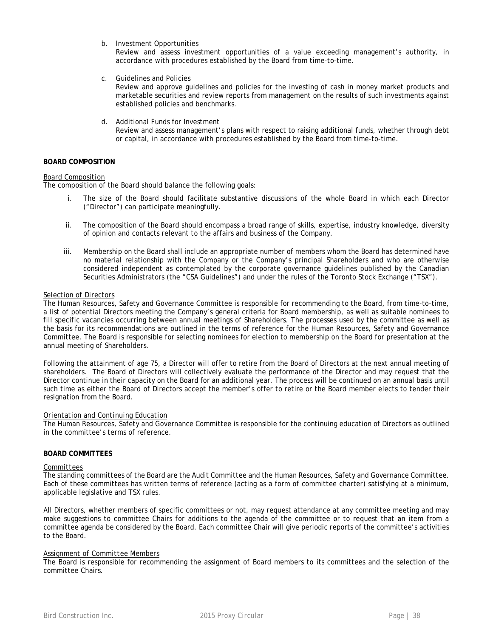b. Investment Opportunities

Review and assess investment opportunities of a value exceeding management's authority, in accordance with procedures established by the Board from time-to-time.

- c. Guidelines and Policies Review and approve guidelines and policies for the investing of cash in money market products and marketable securities and review reports from management on the results of such investments against established policies and benchmarks.
- d. Additional Funds for Investment Review and assess management's plans with respect to raising additional funds, whether through debt or capital, in accordance with procedures established by the Board from time-to-time.

### **BOARD COMPOSITION**

#### *Board Composition*

The composition of the Board should balance the following goals:

- i. The size of the Board should facilitate substantive discussions of the whole Board in which each Director ("Director") can participate meaningfully.
- ii. The composition of the Board should encompass a broad range of skills, expertise, industry knowledge, diversity of opinion and contacts relevant to the affairs and business of the Company.
- iii. Membership on the Board shall include an appropriate number of members whom the Board has determined have no material relationship with the Company or the Company's principal Shareholders and who are otherwise considered independent as contemplated by the corporate governance guidelines published by the Canadian Securities Administrators (the "CSA Guidelines") and under the rules of the Toronto Stock Exchange ("TSX").

#### *Selection of Directors*

The Human Resources, Safety and Governance Committee is responsible for recommending to the Board, from time-to-time, a list of potential Directors meeting the Company's general criteria for Board membership, as well as suitable nominees to fill specific vacancies occurring between annual meetings of Shareholders. The processes used by the committee as well as the basis for its recommendations are outlined in the terms of reference for the Human Resources, Safety and Governance Committee. The Board is responsible for selecting nominees for election to membership on the Board for presentation at the annual meeting of Shareholders.

Following the attainment of age 75, a Director will offer to retire from the Board of Directors at the next annual meeting of shareholders. The Board of Directors will collectively evaluate the performance of the Director and may request that the Director continue in their capacity on the Board for an additional year. The process will be continued on an annual basis until such time as either the Board of Directors accept the member's offer to retire or the Board member elects to tender their resignation from the Board.

#### *Orientation and Continuing Education*

The Human Resources, Safety and Governance Committee is responsible for the continuing education of Directors as outlined in the committee's terms of reference.

### **BOARD COMMITTEES**

#### *Committees*

The standing committees of the Board are the Audit Committee and the Human Resources, Safety and Governance Committee. Each of these committees has written terms of reference (acting as a form of committee charter) satisfying at a minimum, applicable legislative and TSX rules.

All Directors, whether members of specific committees or not, may request attendance at any committee meeting and may make suggestions to committee Chairs for additions to the agenda of the committee or to request that an item from a committee agenda be considered by the Board. Each committee Chair will give periodic reports of the committee's activities to the Board.

### *Assignment of Committee Members*

The Board is responsible for recommending the assignment of Board members to its committees and the selection of the committee Chairs.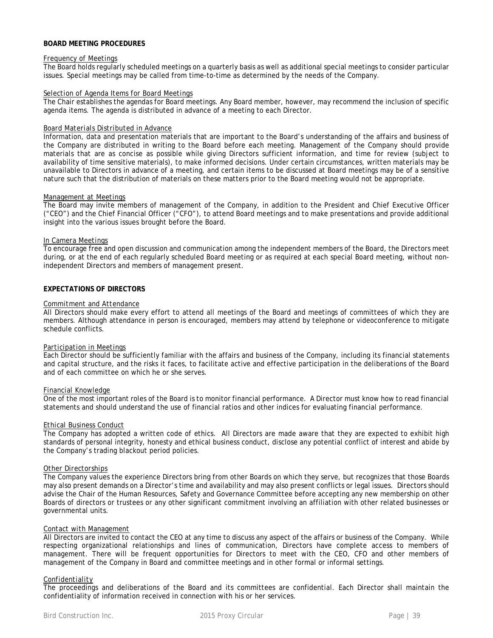#### **BOARD MEETING PROCEDURES**

#### *Frequency of Meetings*

The Board holds regularly scheduled meetings on a quarterly basis as well as additional special meetings to consider particular issues. Special meetings may be called from time-to-time as determined by the needs of the Company.

#### *Selection of Agenda Items for Board Meetings*

The Chair establishes the agendas for Board meetings. Any Board member, however, may recommend the inclusion of specific agenda items. The agenda is distributed in advance of a meeting to each Director.

#### *Board Materials Distributed in Advance*

Information, data and presentation materials that are important to the Board's understanding of the affairs and business of the Company are distributed in writing to the Board before each meeting. Management of the Company should provide materials that are as concise as possible while giving Directors sufficient information, and time for review (subject to availability of time sensitive materials), to make informed decisions. Under certain circumstances, written materials may be unavailable to Directors in advance of a meeting, and certain items to be discussed at Board meetings may be of a sensitive nature such that the distribution of materials on these matters prior to the Board meeting would not be appropriate.

#### *Management at Meetings*

The Board may invite members of management of the Company, in addition to the President and Chief Executive Officer ("CEO") and the Chief Financial Officer ("CFO"), to attend Board meetings and to make presentations and provide additional insight into the various issues brought before the Board.

#### *In Camera Meetings*

To encourage free and open discussion and communication among the independent members of the Board, the Directors meet during, or at the end of each regularly scheduled Board meeting or as required at each special Board meeting, without nonindependent Directors and members of management present.

### **EXPECTATIONS OF DIRECTORS**

#### *Commitment and Attendance*

All Directors should make every effort to attend all meetings of the Board and meetings of committees of which they are members. Although attendance in person is encouraged, members may attend by telephone or videoconference to mitigate schedule conflicts.

#### *Participation in Meetings*

Each Director should be sufficiently familiar with the affairs and business of the Company, including its financial statements and capital structure, and the risks it faces, to facilitate active and effective participation in the deliberations of the Board and of each committee on which he or she serves.

#### *Financial Knowledge*

One of the most important roles of the Board is to monitor financial performance. A Director must know how to read financial statements and should understand the use of financial ratios and other indices for evaluating financial performance.

#### *Ethical Business Conduct*

The Company has adopted a written code of ethics. All Directors are made aware that they are expected to exhibit high standards of personal integrity, honesty and ethical business conduct, disclose any potential conflict of interest and abide by the Company's trading blackout period policies.

#### *Other Directorships*

The Company values the experience Directors bring from other Boards on which they serve, but recognizes that those Boards may also present demands on a Director's time and availability and may also present conflicts or legal issues. Directors should advise the Chair of the Human Resources, Safety and Governance Committee before accepting any new membership on other Boards of directors or trustees or any other significant commitment involving an affiliation with other related businesses or governmental units.

#### *Contact with Management*

All Directors are invited to contact the CEO at any time to discuss any aspect of the affairs or business of the Company. While respecting organizational relationships and lines of communication, Directors have complete access to members of management. There will be frequent opportunities for Directors to meet with the CEO, CFO and other members of management of the Company in Board and committee meetings and in other formal or informal settings.

#### *Confidentiality*

The proceedings and deliberations of the Board and its committees are confidential. Each Director shall maintain the confidentiality of information received in connection with his or her services.